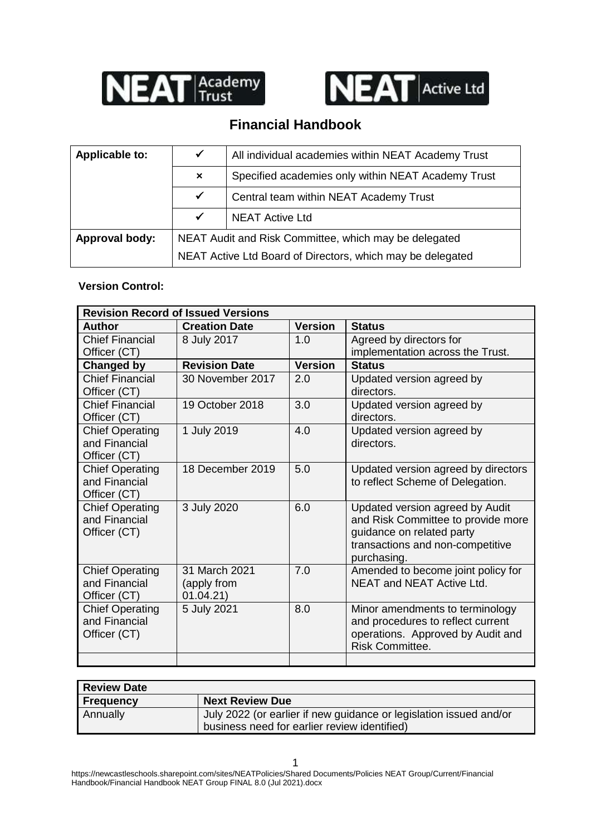



# **Financial Handbook**

| Applicable to:        | $\checkmark$              | All individual academies within NEAT Academy Trust         |  |
|-----------------------|---------------------------|------------------------------------------------------------|--|
|                       | $\boldsymbol{\mathsf{x}}$ | Specified academies only within NEAT Academy Trust         |  |
|                       | $\checkmark$              | Central team within NEAT Academy Trust                     |  |
|                       |                           | <b>NEAT Active Ltd</b>                                     |  |
| <b>Approval body:</b> |                           | NEAT Audit and Risk Committee, which may be delegated      |  |
|                       |                           | NEAT Active Ltd Board of Directors, which may be delegated |  |

#### **Version Control:**

| <b>Revision Record of Issued Versions</b> |                      |                |                                                             |  |
|-------------------------------------------|----------------------|----------------|-------------------------------------------------------------|--|
| <b>Author</b>                             | <b>Creation Date</b> | <b>Version</b> | <b>Status</b>                                               |  |
| <b>Chief Financial</b>                    | 8 July 2017          | 1.0            | Agreed by directors for                                     |  |
| Officer (CT)                              |                      |                | implementation across the Trust.                            |  |
| Changed by                                | <b>Revision Date</b> | <b>Version</b> | <b>Status</b>                                               |  |
| <b>Chief Financial</b>                    | 30 November 2017     | 2.0            | Updated version agreed by                                   |  |
| Officer (CT)                              |                      |                | directors.                                                  |  |
| <b>Chief Financial</b>                    | 19 October 2018      | 3.0            | Updated version agreed by                                   |  |
| Officer (CT)                              |                      |                | directors.                                                  |  |
| <b>Chief Operating</b>                    | 1 July 2019          | 4.0            | Updated version agreed by                                   |  |
| and Financial                             |                      |                | directors.                                                  |  |
| Officer (CT)                              |                      |                |                                                             |  |
| <b>Chief Operating</b>                    | 18 December 2019     | 5.0            | Updated version agreed by directors                         |  |
| and Financial                             |                      |                | to reflect Scheme of Delegation.                            |  |
| Officer (CT)                              |                      |                |                                                             |  |
| <b>Chief Operating</b>                    | 3 July 2020          | 6.0            | Updated version agreed by Audit                             |  |
| and Financial                             |                      |                | and Risk Committee to provide more                          |  |
| Officer (CT)                              |                      |                | guidance on related party                                   |  |
|                                           |                      |                | transactions and non-competitive                            |  |
|                                           |                      |                | purchasing.                                                 |  |
| <b>Chief Operating</b>                    | 31 March 2021        | 7.0            | Amended to become joint policy for                          |  |
| and Financial                             | (apply from          |                | NEAT and NEAT Active Ltd.                                   |  |
| Officer (CT)                              | 01.04.21)            |                |                                                             |  |
| <b>Chief Operating</b>                    | 5 July 2021          | 8.0            | Minor amendments to terminology                             |  |
| and Financial                             |                      |                | and procedures to reflect current                           |  |
| Officer (CT)                              |                      |                | operations. Approved by Audit and<br><b>Risk Committee.</b> |  |
|                                           |                      |                |                                                             |  |

| <b>Review Date</b> |                                                                    |  |
|--------------------|--------------------------------------------------------------------|--|
| <b>Frequency</b>   | <b>Next Review Due</b>                                             |  |
| Annually           | July 2022 (or earlier if new guidance or legislation issued and/or |  |
|                    | business need for earlier review identified)                       |  |

https://newcastleschools.sharepoint.com/sites/NEATPolicies/Shared Documents/Policies NEAT Group/Current/Financial Handbook/Financial Handbook NEAT Group FINAL 8.0 (Jul 2021).docx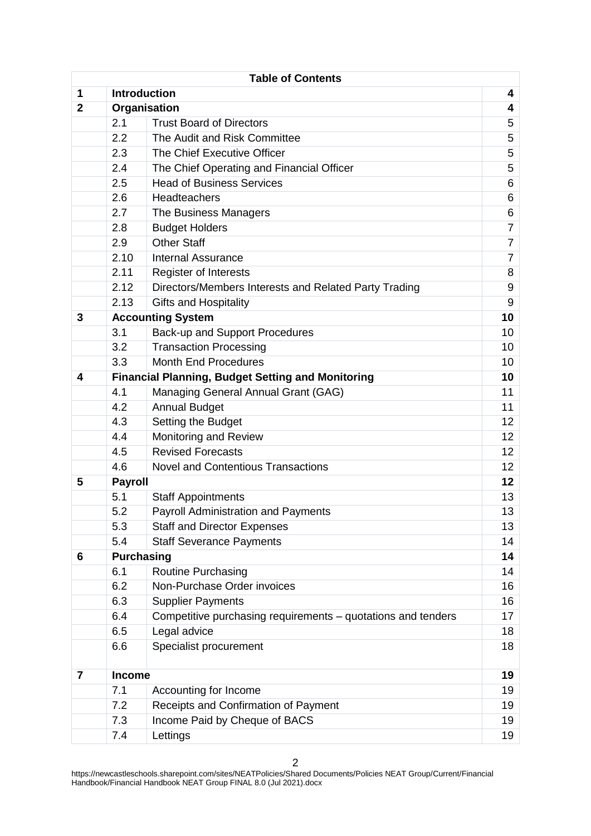|                | <b>Table of Contents</b> |                                                              |       |  |
|----------------|--------------------------|--------------------------------------------------------------|-------|--|
| 1              | <b>Introduction</b><br>4 |                                                              |       |  |
| $\overline{2}$ |                          | Organisation                                                 | 4     |  |
|                | 2.1                      | <b>Trust Board of Directors</b>                              | 5     |  |
|                | 2.2                      | The Audit and Risk Committee                                 | 5     |  |
|                | 2.3                      | The Chief Executive Officer                                  | 5     |  |
|                | 2.4                      | The Chief Operating and Financial Officer                    | 5     |  |
|                | 2.5                      | <b>Head of Business Services</b>                             | 6     |  |
|                | 2.6                      | Headteachers                                                 | 6     |  |
|                | 2.7                      | The Business Managers                                        | $\,6$ |  |
|                | 2.8                      | <b>Budget Holders</b>                                        | 7     |  |
|                | 2.9                      | <b>Other Staff</b>                                           | 7     |  |
|                | 2.10                     | <b>Internal Assurance</b>                                    | 7     |  |
|                | 2.11                     | <b>Register of Interests</b>                                 | 8     |  |
|                | 2.12                     | Directors/Members Interests and Related Party Trading        | 9     |  |
|                | 2.13                     | <b>Gifts and Hospitality</b>                                 | 9     |  |
| 3              |                          | <b>Accounting System</b>                                     | 10    |  |
|                | 3.1                      | <b>Back-up and Support Procedures</b>                        | 10    |  |
|                | 3.2                      | <b>Transaction Processing</b>                                | 10    |  |
|                | 3.3                      | <b>Month End Procedures</b>                                  | 10    |  |
| 4              |                          | <b>Financial Planning, Budget Setting and Monitoring</b>     | 10    |  |
|                | 4.1                      | Managing General Annual Grant (GAG)                          | 11    |  |
|                | 4.2                      | <b>Annual Budget</b>                                         | 11    |  |
|                | 4.3                      | Setting the Budget                                           | 12    |  |
|                | 4.4                      | Monitoring and Review                                        |       |  |
|                | 4.5                      | <b>Revised Forecasts</b>                                     |       |  |
|                | 4.6                      | <b>Novel and Contentious Transactions</b>                    | 12    |  |
| 5              | <b>Payroll</b>           |                                                              | 12    |  |
|                | 5.1                      | <b>Staff Appointments</b>                                    | 13    |  |
|                | 5.2                      | <b>Payroll Administration and Payments</b>                   | 13    |  |
|                | 5.3                      | <b>Staff and Director Expenses</b>                           | 13    |  |
|                | 5.4                      | <b>Staff Severance Payments</b>                              | 14    |  |
| 6              | <b>Purchasing</b>        |                                                              | 14    |  |
|                | 6.1                      | Routine Purchasing                                           | 14    |  |
|                | 6.2                      | Non-Purchase Order invoices                                  | 16    |  |
|                | 6.3                      | <b>Supplier Payments</b>                                     | 16    |  |
|                | 6.4                      | Competitive purchasing requirements – quotations and tenders | 17    |  |
|                | 6.5                      | Legal advice                                                 | 18    |  |
|                | 6.6                      | Specialist procurement                                       | 18    |  |
| $\overline{7}$ | Income                   |                                                              | 19    |  |
|                | 7.1                      | Accounting for Income                                        | 19    |  |
|                | 7.2                      | Receipts and Confirmation of Payment                         | 19    |  |
|                | 7.3                      | Income Paid by Cheque of BACS                                | 19    |  |
|                | 7.4                      | Lettings                                                     | 19    |  |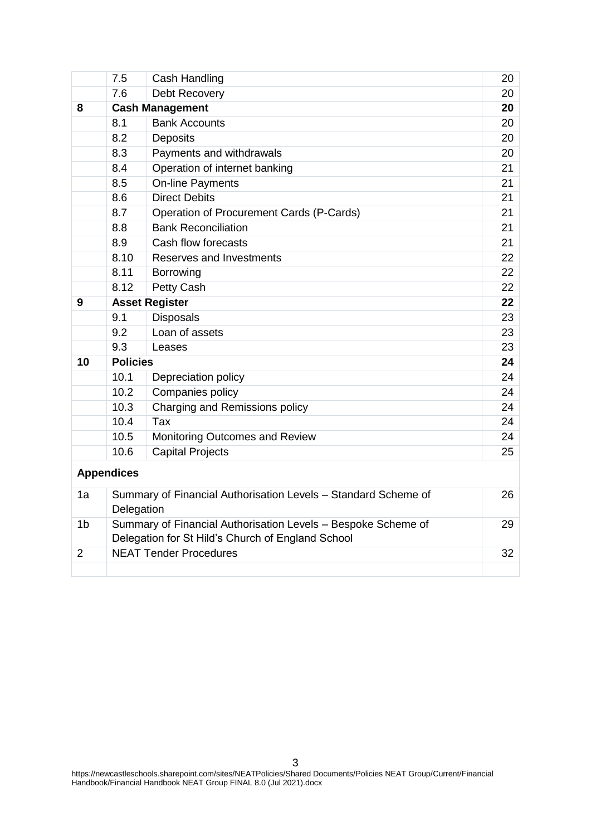|                | 7.5                                               | Cash Handling                                                  | 20 |
|----------------|---------------------------------------------------|----------------------------------------------------------------|----|
|                | 7.6                                               | Debt Recovery                                                  | 20 |
| 8              |                                                   | <b>Cash Management</b>                                         | 20 |
|                | 8.1                                               | <b>Bank Accounts</b>                                           | 20 |
|                | 8.2                                               | <b>Deposits</b>                                                |    |
|                | 8.3                                               | Payments and withdrawals                                       | 20 |
|                | 8.4                                               | Operation of internet banking                                  | 21 |
|                | 8.5                                               | On-line Payments                                               | 21 |
|                | 8.6                                               | <b>Direct Debits</b>                                           | 21 |
|                | 8.7                                               | Operation of Procurement Cards (P-Cards)                       | 21 |
|                | 8.8                                               | <b>Bank Reconciliation</b>                                     | 21 |
|                | 8.9                                               | Cash flow forecasts                                            | 21 |
|                | 8.10                                              | Reserves and Investments                                       | 22 |
|                | 8.11                                              | Borrowing                                                      | 22 |
|                | 8.12                                              | Petty Cash                                                     | 22 |
| 9              |                                                   | <b>Asset Register</b>                                          | 22 |
|                | 9.1                                               | <b>Disposals</b>                                               | 23 |
|                | 9.2                                               | Loan of assets                                                 | 23 |
|                | 9.3                                               | Leases                                                         | 23 |
| 10             | <b>Policies</b>                                   |                                                                | 24 |
|                | 10.1                                              | Depreciation policy                                            | 24 |
|                | 10.2                                              | Companies policy                                               | 24 |
|                | 10.3                                              | Charging and Remissions policy                                 | 24 |
|                | 10.4                                              | Tax                                                            | 24 |
|                | 10.5                                              | Monitoring Outcomes and Review                                 | 24 |
|                | 10.6                                              | <b>Capital Projects</b>                                        | 25 |
|                | <b>Appendices</b>                                 |                                                                |    |
| 1a             | Delegation                                        | Summary of Financial Authorisation Levels - Standard Scheme of | 26 |
| 1 <sub>b</sub> |                                                   | Summary of Financial Authorisation Levels - Bespoke Scheme of  | 29 |
|                | Delegation for St Hild's Church of England School |                                                                |    |
| $\overline{2}$ |                                                   | <b>NEAT Tender Procedures</b>                                  | 32 |
|                |                                                   |                                                                |    |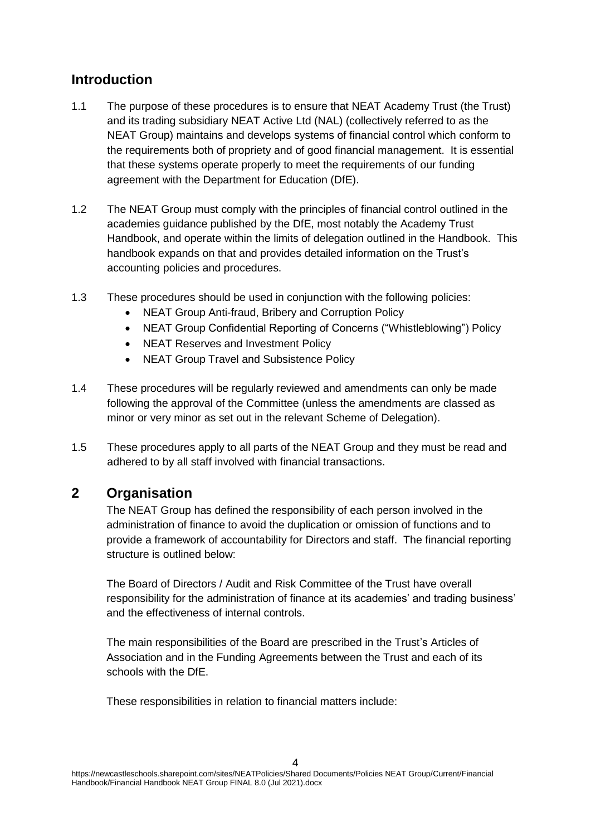# **Introduction**

- 1.1 The purpose of these procedures is to ensure that NEAT Academy Trust (the Trust) and its trading subsidiary NEAT Active Ltd (NAL) (collectively referred to as the NEAT Group) maintains and develops systems of financial control which conform to the requirements both of propriety and of good financial management. It is essential that these systems operate properly to meet the requirements of our funding agreement with the Department for Education (DfE).
- 1.2 The NEAT Group must comply with the principles of financial control outlined in the academies guidance published by the DfE, most notably the Academy Trust Handbook, and operate within the limits of delegation outlined in the Handbook. This handbook expands on that and provides detailed information on the Trust's accounting policies and procedures.
- 1.3 These procedures should be used in conjunction with the following policies:
	- NEAT Group Anti-fraud, Bribery and Corruption Policy
	- NEAT Group Confidential Reporting of Concerns ("Whistleblowing") Policy
	- NEAT Reserves and Investment Policy
	- NEAT Group Travel and Subsistence Policy
- 1.4 These procedures will be regularly reviewed and amendments can only be made following the approval of the Committee (unless the amendments are classed as minor or very minor as set out in the relevant Scheme of Delegation).
- 1.5 These procedures apply to all parts of the NEAT Group and they must be read and adhered to by all staff involved with financial transactions.

# **2 Organisation**

The NEAT Group has defined the responsibility of each person involved in the administration of finance to avoid the duplication or omission of functions and to provide a framework of accountability for Directors and staff. The financial reporting structure is outlined below:

The Board of Directors / Audit and Risk Committee of the Trust have overall responsibility for the administration of finance at its academies' and trading business' and the effectiveness of internal controls.

The main responsibilities of the Board are prescribed in the Trust's Articles of Association and in the Funding Agreements between the Trust and each of its schools with the DfE.

These responsibilities in relation to financial matters include: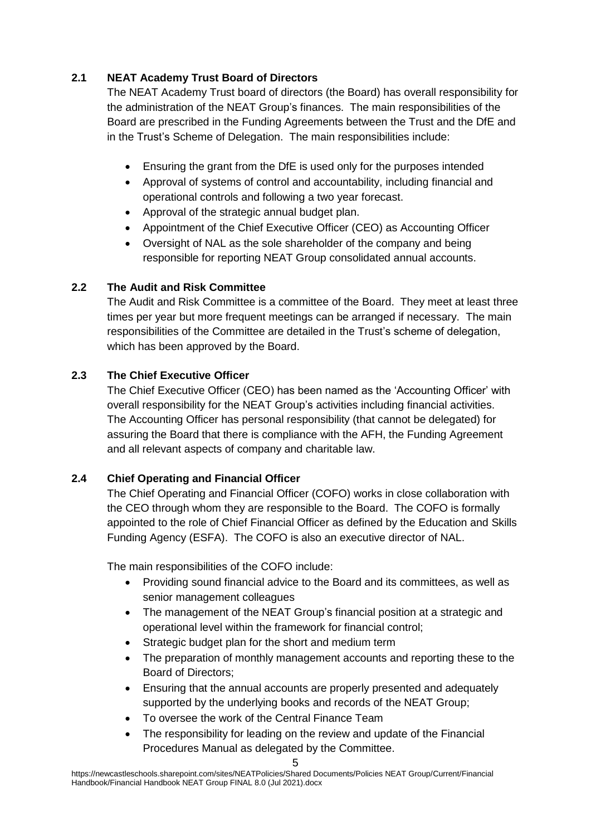# **2.1 NEAT Academy Trust Board of Directors**

The NEAT Academy Trust board of directors (the Board) has overall responsibility for the administration of the NEAT Group's finances. The main responsibilities of the Board are prescribed in the Funding Agreements between the Trust and the DfE and in the Trust's Scheme of Delegation. The main responsibilities include:

- Ensuring the grant from the DfE is used only for the purposes intended
- Approval of systems of control and accountability, including financial and operational controls and following a two year forecast.
- Approval of the strategic annual budget plan.
- Appointment of the Chief Executive Officer (CEO) as Accounting Officer
- Oversight of NAL as the sole shareholder of the company and being responsible for reporting NEAT Group consolidated annual accounts.

# **2.2 The Audit and Risk Committee**

The Audit and Risk Committee is a committee of the Board. They meet at least three times per year but more frequent meetings can be arranged if necessary. The main responsibilities of the Committee are detailed in the Trust's scheme of delegation, which has been approved by the Board.

# **2.3 The Chief Executive Officer**

The Chief Executive Officer (CEO) has been named as the 'Accounting Officer' with overall responsibility for the NEAT Group's activities including financial activities. The Accounting Officer has personal responsibility (that cannot be delegated) for assuring the Board that there is compliance with the AFH, the Funding Agreement and all relevant aspects of company and charitable law.

# **2.4 Chief Operating and Financial Officer**

The Chief Operating and Financial Officer (COFO) works in close collaboration with the CEO through whom they are responsible to the Board. The COFO is formally appointed to the role of Chief Financial Officer as defined by the Education and Skills Funding Agency (ESFA). The COFO is also an executive director of NAL.

The main responsibilities of the COFO include:

- Providing sound financial advice to the Board and its committees, as well as senior management colleagues
- The management of the NEAT Group's financial position at a strategic and operational level within the framework for financial control;
- Strategic budget plan for the short and medium term
- The preparation of monthly management accounts and reporting these to the Board of Directors;
- Ensuring that the annual accounts are properly presented and adequately supported by the underlying books and records of the NEAT Group;
- To oversee the work of the Central Finance Team
- The responsibility for leading on the review and update of the Financial Procedures Manual as delegated by the Committee.

https://newcastleschools.sharepoint.com/sites/NEATPolicies/Shared Documents/Policies NEAT Group/Current/Financial Handbook/Financial Handbook NEAT Group FINAL 8.0 (Jul 2021).docx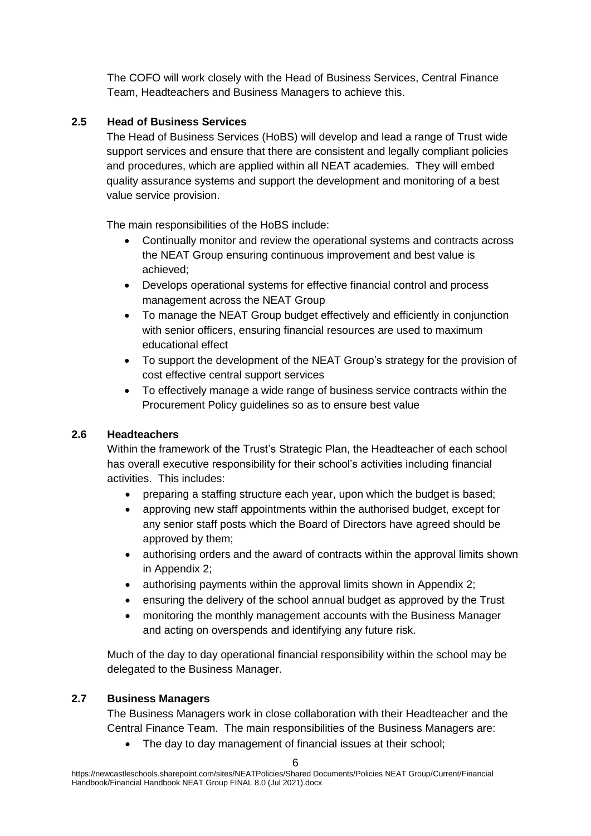The COFO will work closely with the Head of Business Services, Central Finance Team, Headteachers and Business Managers to achieve this.

#### **2.5 Head of Business Services**

The Head of Business Services (HoBS) will develop and lead a range of Trust wide support services and ensure that there are consistent and legally compliant policies and procedures, which are applied within all NEAT academies. They will embed quality assurance systems and support the development and monitoring of a best value service provision.

The main responsibilities of the HoBS include:

- Continually monitor and review the operational systems and contracts across the NEAT Group ensuring continuous improvement and best value is achieved;
- Develops operational systems for effective financial control and process management across the NEAT Group
- To manage the NEAT Group budget effectively and efficiently in conjunction with senior officers, ensuring financial resources are used to maximum educational effect
- To support the development of the NEAT Group's strategy for the provision of cost effective central support services
- To effectively manage a wide range of business service contracts within the Procurement Policy guidelines so as to ensure best value

# **2.6 Headteachers**

Within the framework of the Trust's Strategic Plan, the Headteacher of each school has overall executive responsibility for their school's activities including financial activities. This includes:

- preparing a staffing structure each year, upon which the budget is based;
- approving new staff appointments within the authorised budget, except for any senior staff posts which the Board of Directors have agreed should be approved by them;
- authorising orders and the award of contracts within the approval limits shown in Appendix 2;
- authorising payments within the approval limits shown in Appendix 2:
- ensuring the delivery of the school annual budget as approved by the Trust
- monitoring the monthly management accounts with the Business Manager and acting on overspends and identifying any future risk.

Much of the day to day operational financial responsibility within the school may be delegated to the Business Manager.

# **2.7 Business Managers**

The Business Managers work in close collaboration with their Headteacher and the Central Finance Team. The main responsibilities of the Business Managers are:

The day to day management of financial issues at their school;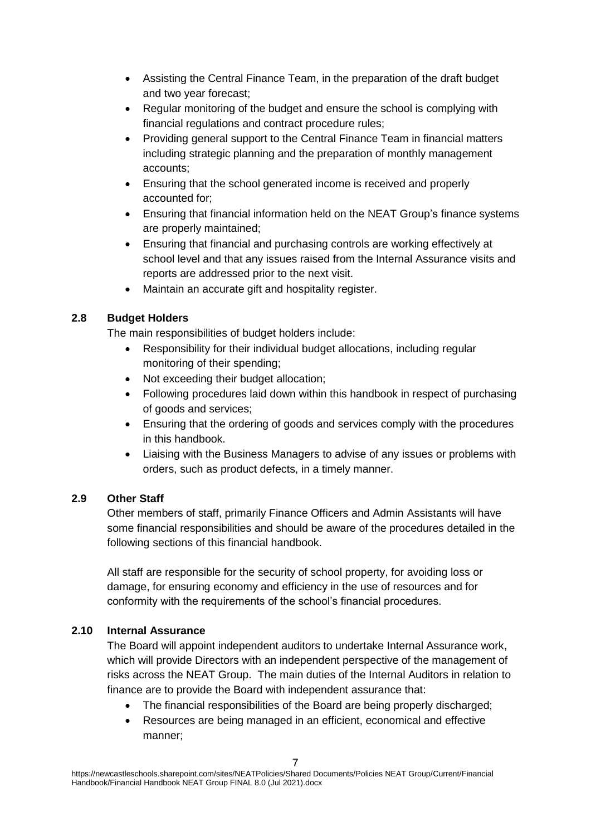- Assisting the Central Finance Team, in the preparation of the draft budget and two year forecast;
- Regular monitoring of the budget and ensure the school is complying with financial regulations and contract procedure rules;
- Providing general support to the Central Finance Team in financial matters including strategic planning and the preparation of monthly management accounts;
- Ensuring that the school generated income is received and properly accounted for;
- Ensuring that financial information held on the NEAT Group's finance systems are properly maintained;
- Ensuring that financial and purchasing controls are working effectively at school level and that any issues raised from the Internal Assurance visits and reports are addressed prior to the next visit.
- Maintain an accurate gift and hospitality register.

# **2.8 Budget Holders**

The main responsibilities of budget holders include:

- Responsibility for their individual budget allocations, including regular monitoring of their spending;
- Not exceeding their budget allocation;
- Following procedures laid down within this handbook in respect of purchasing of goods and services;
- Ensuring that the ordering of goods and services comply with the procedures in this handbook.
- Liaising with the Business Managers to advise of any issues or problems with orders, such as product defects, in a timely manner.

# **2.9 Other Staff**

Other members of staff, primarily Finance Officers and Admin Assistants will have some financial responsibilities and should be aware of the procedures detailed in the following sections of this financial handbook.

All staff are responsible for the security of school property, for avoiding loss or damage, for ensuring economy and efficiency in the use of resources and for conformity with the requirements of the school's financial procedures.

# **2.10 Internal Assurance**

The Board will appoint independent auditors to undertake Internal Assurance work, which will provide Directors with an independent perspective of the management of risks across the NEAT Group. The main duties of the Internal Auditors in relation to finance are to provide the Board with independent assurance that:

- The financial responsibilities of the Board are being properly discharged;
- Resources are being managed in an efficient, economical and effective manner;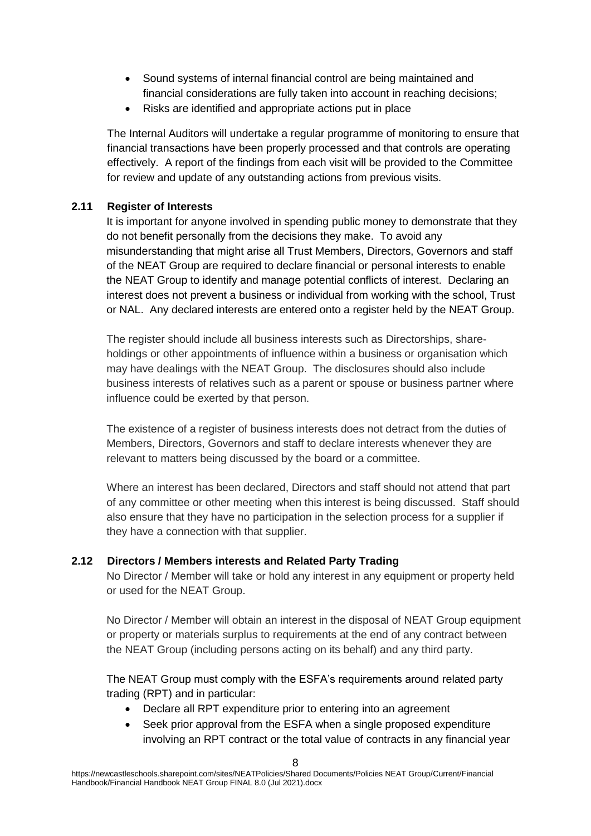- Sound systems of internal financial control are being maintained and financial considerations are fully taken into account in reaching decisions;
- Risks are identified and appropriate actions put in place

The Internal Auditors will undertake a regular programme of monitoring to ensure that financial transactions have been properly processed and that controls are operating effectively. A report of the findings from each visit will be provided to the Committee for review and update of any outstanding actions from previous visits.

#### **2.11 Register of Interests**

It is important for anyone involved in spending public money to demonstrate that they do not benefit personally from the decisions they make. To avoid any misunderstanding that might arise all Trust Members, Directors, Governors and staff of the NEAT Group are required to declare financial or personal interests to enable the NEAT Group to identify and manage potential conflicts of interest. Declaring an interest does not prevent a business or individual from working with the school, Trust or NAL. Any declared interests are entered onto a register held by the NEAT Group.

The register should include all business interests such as Directorships, shareholdings or other appointments of influence within a business or organisation which may have dealings with the NEAT Group. The disclosures should also include business interests of relatives such as a parent or spouse or business partner where influence could be exerted by that person.

The existence of a register of business interests does not detract from the duties of Members, Directors, Governors and staff to declare interests whenever they are relevant to matters being discussed by the board or a committee.

Where an interest has been declared, Directors and staff should not attend that part of any committee or other meeting when this interest is being discussed. Staff should also ensure that they have no participation in the selection process for a supplier if they have a connection with that supplier.

# **2.12 Directors / Members interests and Related Party Trading**

No Director / Member will take or hold any interest in any equipment or property held or used for the NEAT Group.

No Director / Member will obtain an interest in the disposal of NEAT Group equipment or property or materials surplus to requirements at the end of any contract between the NEAT Group (including persons acting on its behalf) and any third party.

The NEAT Group must comply with the ESFA's requirements around related party trading (RPT) and in particular:

- Declare all RPT expenditure prior to entering into an agreement
- Seek prior approval from the ESFA when a single proposed expenditure involving an RPT contract or the total value of contracts in any financial year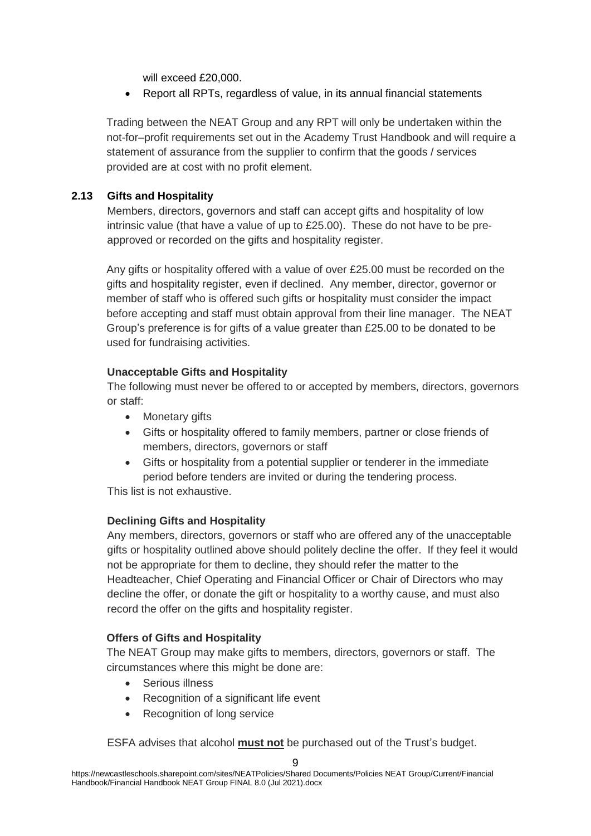will exceed £20,000.

Report all RPTs, regardless of value, in its annual financial statements

Trading between the NEAT Group and any RPT will only be undertaken within the not-for–profit requirements set out in the Academy Trust Handbook and will require a statement of assurance from the supplier to confirm that the goods / services provided are at cost with no profit element.

#### **2.13 Gifts and Hospitality**

Members, directors, governors and staff can accept gifts and hospitality of low intrinsic value (that have a value of up to £25.00). These do not have to be preapproved or recorded on the gifts and hospitality register.

Any gifts or hospitality offered with a value of over £25.00 must be recorded on the gifts and hospitality register, even if declined. Any member, director, governor or member of staff who is offered such gifts or hospitality must consider the impact before accepting and staff must obtain approval from their line manager. The NEAT Group's preference is for gifts of a value greater than £25.00 to be donated to be used for fundraising activities.

#### **Unacceptable Gifts and Hospitality**

The following must never be offered to or accepted by members, directors, governors or staff:

- Monetary gifts
- Gifts or hospitality offered to family members, partner or close friends of members, directors, governors or staff
- Gifts or hospitality from a potential supplier or tenderer in the immediate period before tenders are invited or during the tendering process.

This list is not exhaustive.

# **Declining Gifts and Hospitality**

Any members, directors, governors or staff who are offered any of the unacceptable gifts or hospitality outlined above should politely decline the offer. If they feel it would not be appropriate for them to decline, they should refer the matter to the Headteacher, Chief Operating and Financial Officer or Chair of Directors who may decline the offer, or donate the gift or hospitality to a worthy cause, and must also record the offer on the gifts and hospitality register.

# **Offers of Gifts and Hospitality**

The NEAT Group may make gifts to members, directors, governors or staff. The circumstances where this might be done are:

- Serious illness
- Recognition of a significant life event
- Recognition of long service

ESFA advises that alcohol **must not** be purchased out of the Trust's budget.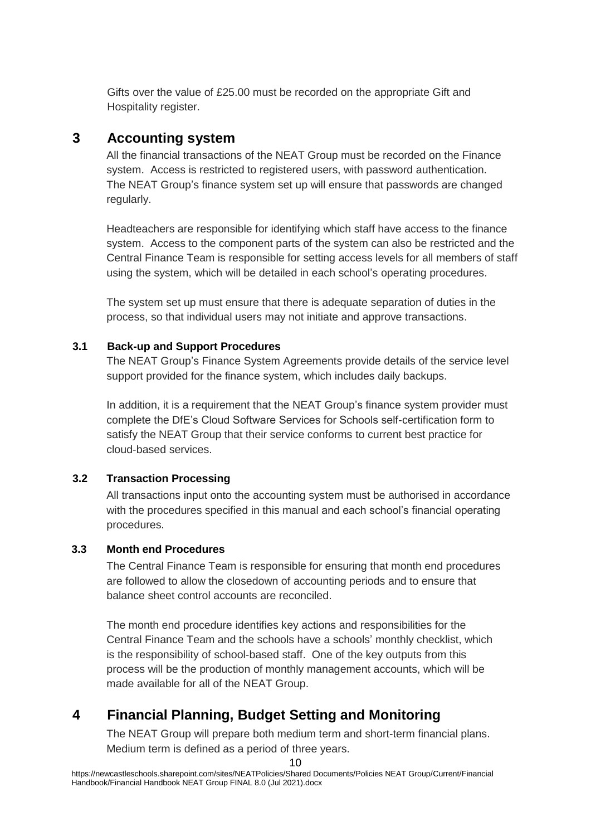Gifts over the value of £25.00 must be recorded on the appropriate Gift and Hospitality register.

# **3 Accounting system**

All the financial transactions of the NEAT Group must be recorded on the Finance system. Access is restricted to registered users, with password authentication. The NEAT Group's finance system set up will ensure that passwords are changed regularly.

Headteachers are responsible for identifying which staff have access to the finance system. Access to the component parts of the system can also be restricted and the Central Finance Team is responsible for setting access levels for all members of staff using the system, which will be detailed in each school's operating procedures.

The system set up must ensure that there is adequate separation of duties in the process, so that individual users may not initiate and approve transactions.

#### **3.1 Back-up and Support Procedures**

The NEAT Group's Finance System Agreements provide details of the service level support provided for the finance system, which includes daily backups.

In addition, it is a requirement that the NEAT Group's finance system provider must complete the DfE's Cloud Software Services for Schools self-certification form to satisfy the NEAT Group that their service conforms to current best practice for cloud-based services.

# **3.2 Transaction Processing**

All transactions input onto the accounting system must be authorised in accordance with the procedures specified in this manual and each school's financial operating procedures.

# **3.3 Month end Procedures**

The Central Finance Team is responsible for ensuring that month end procedures are followed to allow the closedown of accounting periods and to ensure that balance sheet control accounts are reconciled.

The month end procedure identifies key actions and responsibilities for the Central Finance Team and the schools have a schools' monthly checklist, which is the responsibility of school-based staff. One of the key outputs from this process will be the production of monthly management accounts, which will be made available for all of the NEAT Group.

# **4 Financial Planning, Budget Setting and Monitoring**

The NEAT Group will prepare both medium term and short-term financial plans. Medium term is defined as a period of three years.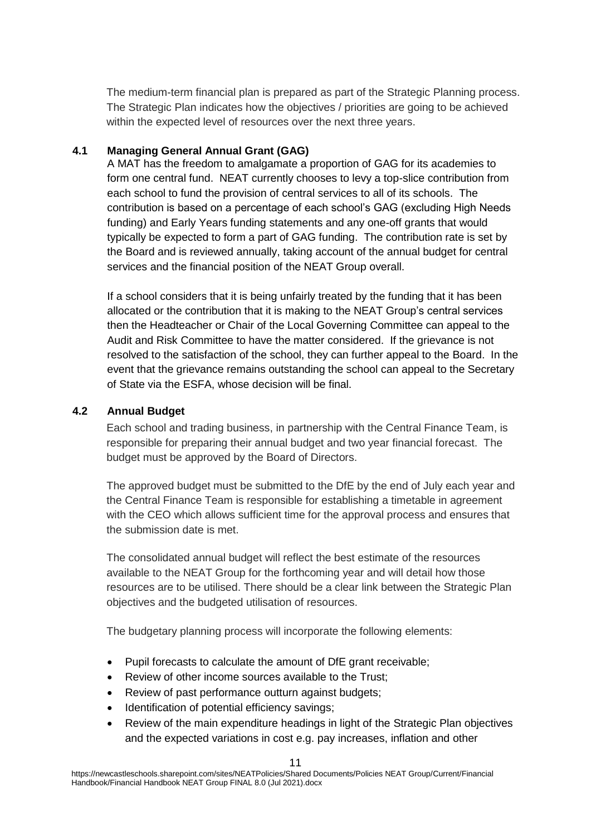The medium-term financial plan is prepared as part of the Strategic Planning process. The Strategic Plan indicates how the objectives / priorities are going to be achieved within the expected level of resources over the next three years.

#### **4.1 Managing General Annual Grant (GAG)**

A MAT has the freedom to amalgamate a proportion of GAG for its academies to form one central fund. NEAT currently chooses to levy a top-slice contribution from each school to fund the provision of central services to all of its schools. The contribution is based on a percentage of each school's GAG (excluding High Needs funding) and Early Years funding statements and any one-off grants that would typically be expected to form a part of GAG funding. The contribution rate is set by the Board and is reviewed annually, taking account of the annual budget for central services and the financial position of the NEAT Group overall.

If a school considers that it is being unfairly treated by the funding that it has been allocated or the contribution that it is making to the NEAT Group's central services then the Headteacher or Chair of the Local Governing Committee can appeal to the Audit and Risk Committee to have the matter considered. If the grievance is not resolved to the satisfaction of the school, they can further appeal to the Board. In the event that the grievance remains outstanding the school can appeal to the Secretary of State via the ESFA, whose decision will be final.

#### **4.2 Annual Budget**

Each school and trading business, in partnership with the Central Finance Team, is responsible for preparing their annual budget and two year financial forecast. The budget must be approved by the Board of Directors.

The approved budget must be submitted to the DfE by the end of July each year and the Central Finance Team is responsible for establishing a timetable in agreement with the CEO which allows sufficient time for the approval process and ensures that the submission date is met.

The consolidated annual budget will reflect the best estimate of the resources available to the NEAT Group for the forthcoming year and will detail how those resources are to be utilised. There should be a clear link between the Strategic Plan objectives and the budgeted utilisation of resources.

The budgetary planning process will incorporate the following elements:

- Pupil forecasts to calculate the amount of DfE grant receivable;
- Review of other income sources available to the Trust;
- Review of past performance outturn against budgets:
- Identification of potential efficiency savings;
- Review of the main expenditure headings in light of the Strategic Plan objectives and the expected variations in cost e.g. pay increases, inflation and other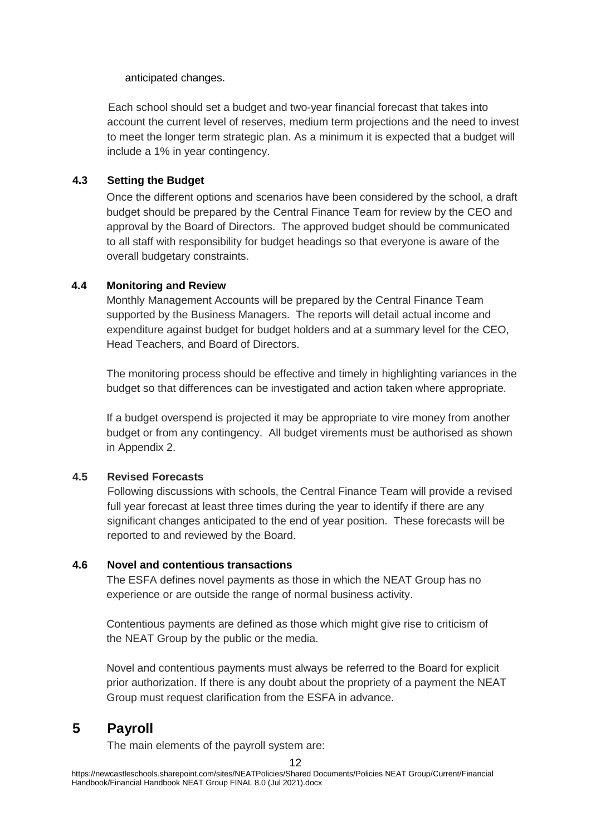#### anticipated changes.

Each school should set a budget and two-year financial forecast that takes into account the current level of reserves, medium term projections and the need to invest to meet the longer term strategic plan. As a minimum it is expected that a budget will include a 1% in year contingency.

# **4.3 Setting the Budget**

Once the different options and scenarios have been considered by the school, a draft budget should be prepared by the Central Finance Team for review by the CEO and approval by the Board of Directors. The approved budget should be communicated to all staff with responsibility for budget headings so that everyone is aware of the overall budgetary constraints.

#### **4.4 Monitoring and Review**

Monthly Management Accounts will be prepared by the Central Finance Team supported by the Business Managers. The reports will detail actual income and expenditure against budget for budget holders and at a summary level for the CEO, Head Teachers, and Board of Directors.

The monitoring process should be effective and timely in highlighting variances in the budget so that differences can be investigated and action taken where appropriate.

If a budget overspend is projected it may be appropriate to vire money from another budget or from any contingency. All budget virements must be authorised as shown in Appendix 2.

#### **4.5 Revised Forecasts**

Following discussions with schools, the Central Finance Team will provide a revised full year forecast at least three times during the year to identify if there are any significant changes anticipated to the end of year position. These forecasts will be reported to and reviewed by the Board.

#### **4.6 Novel and contentious transactions**

The ESFA defines novel payments as those in which the NEAT Group has no experience or are outside the range of normal business activity.

Contentious payments are defined as those which might give rise to criticism of the NEAT Group by the public or the media.

Novel and contentious payments must always be referred to the Board for explicit prior authorization. If there is any doubt about the propriety of a payment the NEAT Group must request clarification from the ESFA in advance.

# **5 Payroll**

The main elements of the payroll system are: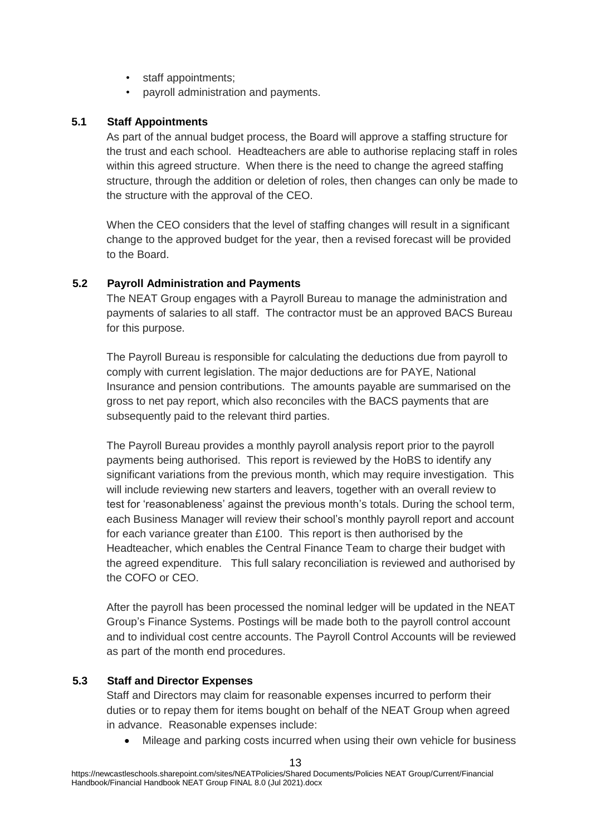- staff appointments;
- payroll administration and payments.

#### **5.1 Staff Appointments**

As part of the annual budget process, the Board will approve a staffing structure for the trust and each school. Headteachers are able to authorise replacing staff in roles within this agreed structure. When there is the need to change the agreed staffing structure, through the addition or deletion of roles, then changes can only be made to the structure with the approval of the CEO.

When the CEO considers that the level of staffing changes will result in a significant change to the approved budget for the year, then a revised forecast will be provided to the Board.

# **5.2 Payroll Administration and Payments**

The NEAT Group engages with a Payroll Bureau to manage the administration and payments of salaries to all staff. The contractor must be an approved BACS Bureau for this purpose.

The Payroll Bureau is responsible for calculating the deductions due from payroll to comply with current legislation. The major deductions are for PAYE, National Insurance and pension contributions. The amounts payable are summarised on the gross to net pay report, which also reconciles with the BACS payments that are subsequently paid to the relevant third parties.

The Payroll Bureau provides a monthly payroll analysis report prior to the payroll payments being authorised. This report is reviewed by the HoBS to identify any significant variations from the previous month, which may require investigation. This will include reviewing new starters and leavers, together with an overall review to test for 'reasonableness' against the previous month's totals. During the school term, each Business Manager will review their school's monthly payroll report and account for each variance greater than £100. This report is then authorised by the Headteacher, which enables the Central Finance Team to charge their budget with the agreed expenditure. This full salary reconciliation is reviewed and authorised by the COFO or CEO.

After the payroll has been processed the nominal ledger will be updated in the NEAT Group's Finance Systems. Postings will be made both to the payroll control account and to individual cost centre accounts. The Payroll Control Accounts will be reviewed as part of the month end procedures.

# **5.3 Staff and Director Expenses**

Staff and Directors may claim for reasonable expenses incurred to perform their duties or to repay them for items bought on behalf of the NEAT Group when agreed in advance. Reasonable expenses include:

Mileage and parking costs incurred when using their own vehicle for business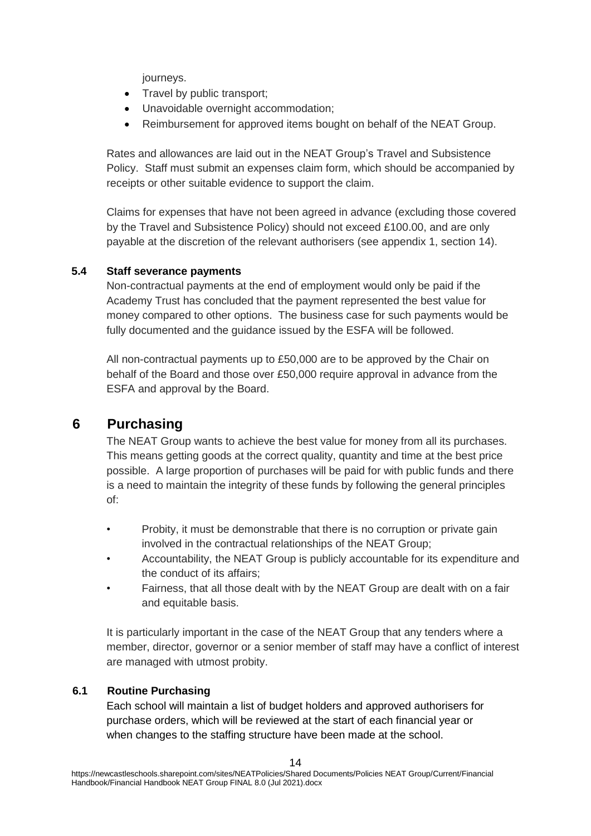journeys.

- Travel by public transport;
- Unavoidable overnight accommodation;
- Reimbursement for approved items bought on behalf of the NEAT Group.

Rates and allowances are laid out in the NEAT Group's Travel and Subsistence Policy. Staff must submit an expenses claim form, which should be accompanied by receipts or other suitable evidence to support the claim.

Claims for expenses that have not been agreed in advance (excluding those covered by the Travel and Subsistence Policy) should not exceed £100.00, and are only payable at the discretion of the relevant authorisers (see appendix 1, section 14).

# **5.4 Staff severance payments**

Non-contractual payments at the end of employment would only be paid if the Academy Trust has concluded that the payment represented the best value for money compared to other options. The business case for such payments would be fully documented and the guidance issued by the ESFA will be followed.

All non-contractual payments up to £50,000 are to be approved by the Chair on behalf of the Board and those over £50,000 require approval in advance from the ESFA and approval by the Board.

# **6 Purchasing**

The NEAT Group wants to achieve the best value for money from all its purchases. This means getting goods at the correct quality, quantity and time at the best price possible. A large proportion of purchases will be paid for with public funds and there is a need to maintain the integrity of these funds by following the general principles of:

- Probity, it must be demonstrable that there is no corruption or private gain involved in the contractual relationships of the NEAT Group;
- Accountability, the NEAT Group is publicly accountable for its expenditure and the conduct of its affairs;
- Fairness, that all those dealt with by the NEAT Group are dealt with on a fair and equitable basis.

It is particularly important in the case of the NEAT Group that any tenders where a member, director, governor or a senior member of staff may have a conflict of interest are managed with utmost probity.

# **6.1 Routine Purchasing**

Each school will maintain a list of budget holders and approved authorisers for purchase orders, which will be reviewed at the start of each financial year or when changes to the staffing structure have been made at the school.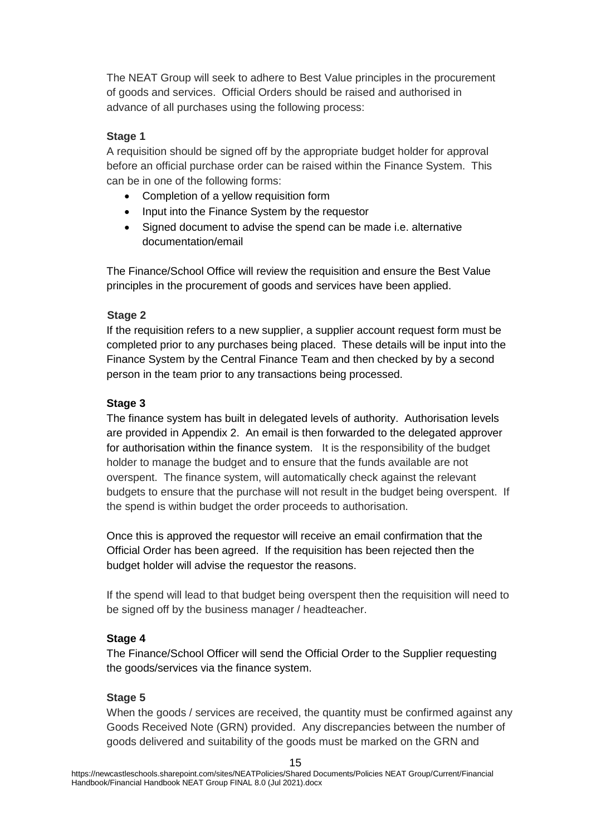The NEAT Group will seek to adhere to Best Value principles in the procurement of goods and services. Official Orders should be raised and authorised in advance of all purchases using the following process:

#### **Stage 1**

A requisition should be signed off by the appropriate budget holder for approval before an official purchase order can be raised within the Finance System. This can be in one of the following forms:

- Completion of a yellow requisition form
- Input into the Finance System by the requestor
- Signed document to advise the spend can be made i.e. alternative documentation/email

The Finance/School Office will review the requisition and ensure the Best Value principles in the procurement of goods and services have been applied.

#### **Stage 2**

If the requisition refers to a new supplier, a supplier account request form must be completed prior to any purchases being placed. These details will be input into the Finance System by the Central Finance Team and then checked by by a second person in the team prior to any transactions being processed.

#### **Stage 3**

The finance system has built in delegated levels of authority. Authorisation levels are provided in Appendix 2. An email is then forwarded to the delegated approver for authorisation within the finance system. It is the responsibility of the budget holder to manage the budget and to ensure that the funds available are not overspent. The finance system, will automatically check against the relevant budgets to ensure that the purchase will not result in the budget being overspent. If the spend is within budget the order proceeds to authorisation.

Once this is approved the requestor will receive an email confirmation that the Official Order has been agreed. If the requisition has been rejected then the budget holder will advise the requestor the reasons.

If the spend will lead to that budget being overspent then the requisition will need to be signed off by the business manager / headteacher.

# **Stage 4**

The Finance/School Officer will send the Official Order to the Supplier requesting the goods/services via the finance system.

#### **Stage 5**

When the goods / services are received, the quantity must be confirmed against any Goods Received Note (GRN) provided. Any discrepancies between the number of goods delivered and suitability of the goods must be marked on the GRN and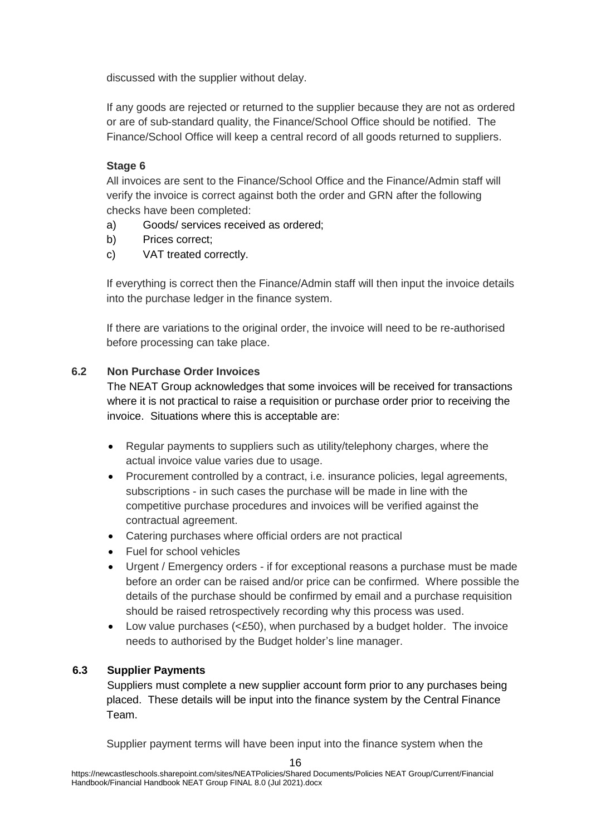discussed with the supplier without delay.

If any goods are rejected or returned to the supplier because they are not as ordered or are of sub-standard quality, the Finance/School Office should be notified. The Finance/School Office will keep a central record of all goods returned to suppliers.

# **Stage 6**

All invoices are sent to the Finance/School Office and the Finance/Admin staff will verify the invoice is correct against both the order and GRN after the following checks have been completed:

- a) Goods/ services received as ordered;
- b) Prices correct;
- c) VAT treated correctly.

If everything is correct then the Finance/Admin staff will then input the invoice details into the purchase ledger in the finance system.

If there are variations to the original order, the invoice will need to be re-authorised before processing can take place.

# **6.2 Non Purchase Order Invoices**

The NEAT Group acknowledges that some invoices will be received for transactions where it is not practical to raise a requisition or purchase order prior to receiving the invoice. Situations where this is acceptable are:

- Regular payments to suppliers such as utility/telephony charges, where the actual invoice value varies due to usage.
- Procurement controlled by a contract, i.e. insurance policies, legal agreements, subscriptions - in such cases the purchase will be made in line with the competitive purchase procedures and invoices will be verified against the contractual agreement.
- Catering purchases where official orders are not practical
- Fuel for school vehicles
- Urgent / Emergency orders if for exceptional reasons a purchase must be made before an order can be raised and/or price can be confirmed. Where possible the details of the purchase should be confirmed by email and a purchase requisition should be raised retrospectively recording why this process was used.
- $\bullet$  Low value purchases ( $\leq$ £50), when purchased by a budget holder. The invoice needs to authorised by the Budget holder's line manager.

# **6.3 Supplier Payments**

Suppliers must complete a new supplier account form prior to any purchases being placed. These details will be input into the finance system by the Central Finance Team.

Supplier payment terms will have been input into the finance system when the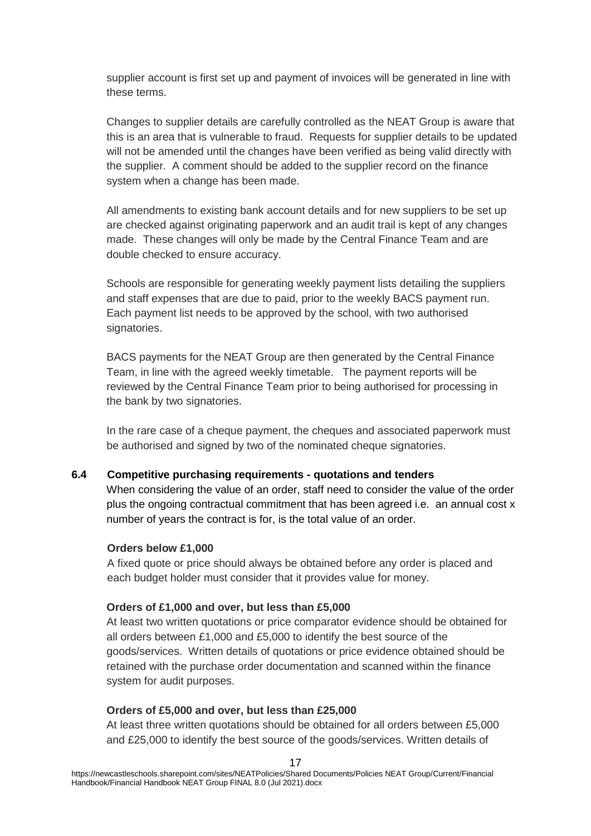supplier account is first set up and payment of invoices will be generated in line with these terms.

Changes to supplier details are carefully controlled as the NEAT Group is aware that this is an area that is vulnerable to fraud. Requests for supplier details to be updated will not be amended until the changes have been verified as being valid directly with the supplier. A comment should be added to the supplier record on the finance system when a change has been made.

All amendments to existing bank account details and for new suppliers to be set up are checked against originating paperwork and an audit trail is kept of any changes made. These changes will only be made by the Central Finance Team and are double checked to ensure accuracy.

Schools are responsible for generating weekly payment lists detailing the suppliers and staff expenses that are due to paid, prior to the weekly BACS payment run. Each payment list needs to be approved by the school, with two authorised signatories.

BACS payments for the NEAT Group are then generated by the Central Finance Team, in line with the agreed weekly timetable. The payment reports will be reviewed by the Central Finance Team prior to being authorised for processing in the bank by two signatories.

In the rare case of a cheque payment, the cheques and associated paperwork must be authorised and signed by two of the nominated cheque signatories.

#### **6.4 Competitive purchasing requirements - quotations and tenders**

When considering the value of an order, staff need to consider the value of the order plus the ongoing contractual commitment that has been agreed i.e. an annual cost x number of years the contract is for, is the total value of an order.

#### **Orders below £1,000**

A fixed quote or price should always be obtained before any order is placed and each budget holder must consider that it provides value for money.

#### **Orders of £1,000 and over, but less than £5,000**

At least two written quotations or price comparator evidence should be obtained for all orders between £1,000 and £5,000 to identify the best source of the goods/services. Written details of quotations or price evidence obtained should be retained with the purchase order documentation and scanned within the finance system for audit purposes.

#### **Orders of £5,000 and over, but less than £25,000**

At least three written quotations should be obtained for all orders between £5,000 and £25,000 to identify the best source of the goods/services. Written details of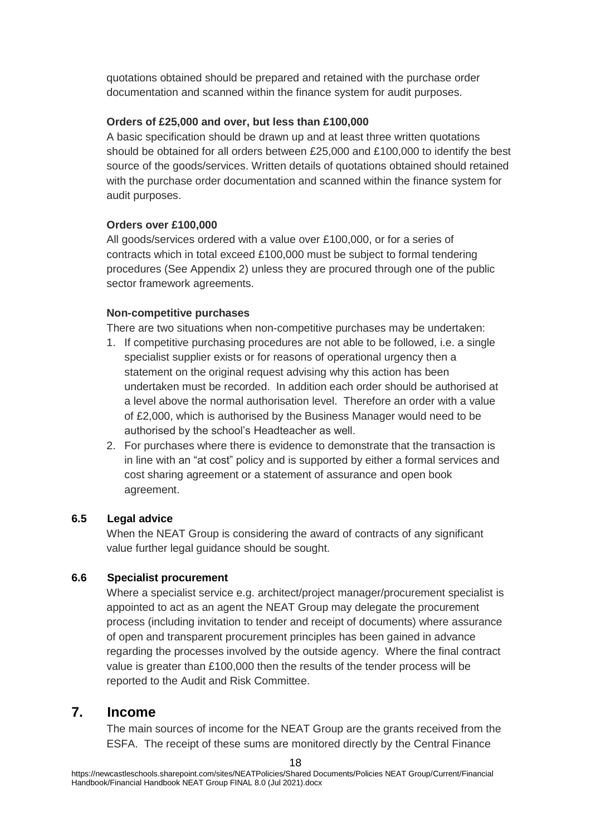quotations obtained should be prepared and retained with the purchase order documentation and scanned within the finance system for audit purposes.

#### **Orders of £25,000 and over, but less than £100,000**

A basic specification should be drawn up and at least three written quotations should be obtained for all orders between £25,000 and £100,000 to identify the best source of the goods/services. Written details of quotations obtained should retained with the purchase order documentation and scanned within the finance system for audit purposes.

#### **Orders over £100,000**

All goods/services ordered with a value over £100,000, or for a series of contracts which in total exceed £100,000 must be subject to formal tendering procedures (See Appendix 2) unless they are procured through one of the public sector framework agreements.

#### **Non-competitive purchases**

There are two situations when non-competitive purchases may be undertaken:

- 1. If competitive purchasing procedures are not able to be followed, i.e. a single specialist supplier exists or for reasons of operational urgency then a statement on the original request advising why this action has been undertaken must be recorded. In addition each order should be authorised at a level above the normal authorisation level. Therefore an order with a value of £2,000, which is authorised by the Business Manager would need to be authorised by the school's Headteacher as well.
- 2. For purchases where there is evidence to demonstrate that the transaction is in line with an "at cost" policy and is supported by either a formal services and cost sharing agreement or a statement of assurance and open book agreement.

# **6.5 Legal advice**

When the NEAT Group is considering the award of contracts of any significant value further legal guidance should be sought.

# **6.6 Specialist procurement**

Where a specialist service e.g. architect/project manager/procurement specialist is appointed to act as an agent the NEAT Group may delegate the procurement process (including invitation to tender and receipt of documents) where assurance of open and transparent procurement principles has been gained in advance regarding the processes involved by the outside agency. Where the final contract value is greater than £100,000 then the results of the tender process will be reported to the Audit and Risk Committee.

# **7. Income**

The main sources of income for the NEAT Group are the grants received from the ESFA. The receipt of these sums are monitored directly by the Central Finance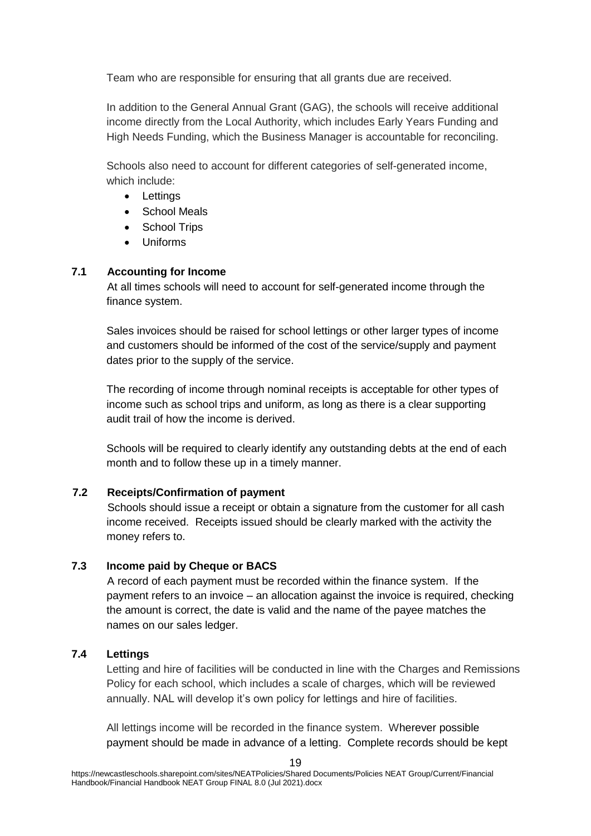Team who are responsible for ensuring that all grants due are received.

In addition to the General Annual Grant (GAG), the schools will receive additional income directly from the Local Authority, which includes Early Years Funding and High Needs Funding, which the Business Manager is accountable for reconciling.

Schools also need to account for different categories of self-generated income, which include:

- Lettings
- School Meals
- School Trips
- Uniforms

# **7.1 Accounting for Income**

At all times schools will need to account for self-generated income through the finance system.

Sales invoices should be raised for school lettings or other larger types of income and customers should be informed of the cost of the service/supply and payment dates prior to the supply of the service.

The recording of income through nominal receipts is acceptable for other types of income such as school trips and uniform, as long as there is a clear supporting audit trail of how the income is derived.

Schools will be required to clearly identify any outstanding debts at the end of each month and to follow these up in a timely manner.

# **7.2 Receipts/Confirmation of payment**

Schools should issue a receipt or obtain a signature from the customer for all cash income received. Receipts issued should be clearly marked with the activity the money refers to.

# **7.3 Income paid by Cheque or BACS**

A record of each payment must be recorded within the finance system. If the payment refers to an invoice – an allocation against the invoice is required, checking the amount is correct, the date is valid and the name of the payee matches the names on our sales ledger.

# **7.4 Lettings**

Letting and hire of facilities will be conducted in line with the Charges and Remissions Policy for each school, which includes a scale of charges, which will be reviewed annually. NAL will develop it's own policy for lettings and hire of facilities.

All lettings income will be recorded in the finance system. Wherever possible payment should be made in advance of a letting. Complete records should be kept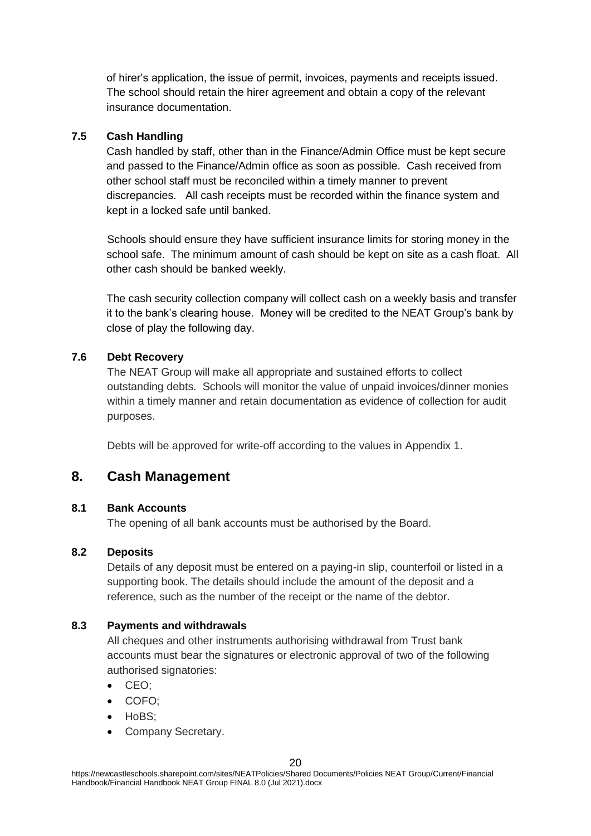of hirer's application, the issue of permit, invoices, payments and receipts issued. The school should retain the hirer agreement and obtain a copy of the relevant insurance documentation.

#### **7.5 Cash Handling**

Cash handled by staff, other than in the Finance/Admin Office must be kept secure and passed to the Finance/Admin office as soon as possible. Cash received from other school staff must be reconciled within a timely manner to prevent discrepancies. All cash receipts must be recorded within the finance system and kept in a locked safe until banked.

Schools should ensure they have sufficient insurance limits for storing money in the school safe. The minimum amount of cash should be kept on site as a cash float. All other cash should be banked weekly.

The cash security collection company will collect cash on a weekly basis and transfer it to the bank's clearing house. Money will be credited to the NEAT Group's bank by close of play the following day.

# **7.6 Debt Recovery**

The NEAT Group will make all appropriate and sustained efforts to collect outstanding debts. Schools will monitor the value of unpaid invoices/dinner monies within a timely manner and retain documentation as evidence of collection for audit purposes.

Debts will be approved for write-off according to the values in Appendix 1.

# **8. Cash Management**

#### **8.1 Bank Accounts**

The opening of all bank accounts must be authorised by the Board.

# **8.2 Deposits**

Details of any deposit must be entered on a paying-in slip, counterfoil or listed in a supporting book. The details should include the amount of the deposit and a reference, such as the number of the receipt or the name of the debtor.

# **8.3 Payments and withdrawals**

All cheques and other instruments authorising withdrawal from Trust bank accounts must bear the signatures or electronic approval of two of the following authorised signatories:

- CEO;
- COFO;
- HoBS:
- Company Secretary.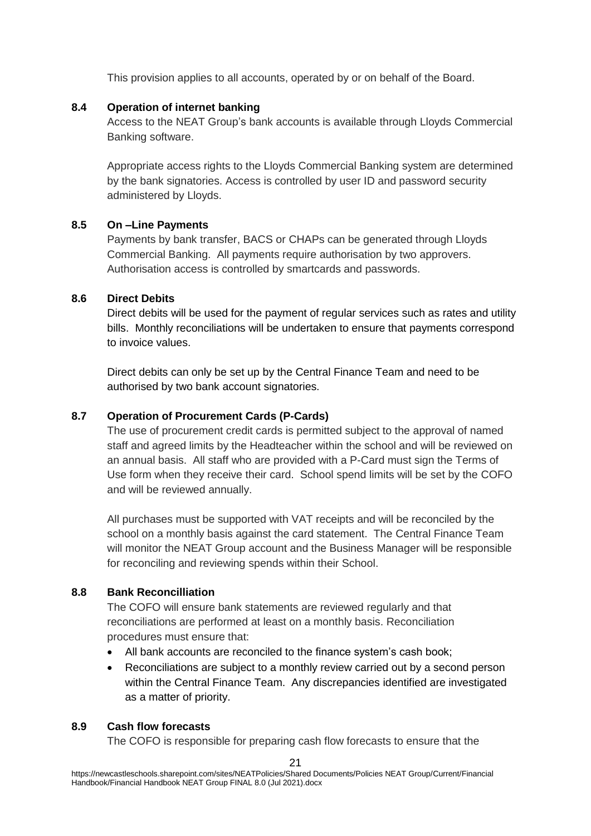This provision applies to all accounts, operated by or on behalf of the Board.

#### **8.4 Operation of internet banking**

Access to the NEAT Group's bank accounts is available through Lloyds Commercial Banking software.

Appropriate access rights to the Lloyds Commercial Banking system are determined by the bank signatories. Access is controlled by user ID and password security administered by Lloyds.

#### **8.5 On –Line Payments**

Payments by bank transfer, BACS or CHAPs can be generated through Lloyds Commercial Banking. All payments require authorisation by two approvers. Authorisation access is controlled by smartcards and passwords.

#### **8.6 Direct Debits**

Direct debits will be used for the payment of regular services such as rates and utility bills. Monthly reconciliations will be undertaken to ensure that payments correspond to invoice values.

Direct debits can only be set up by the Central Finance Team and need to be authorised by two bank account signatories.

#### **8.7 Operation of Procurement Cards (P-Cards)**

The use of procurement credit cards is permitted subject to the approval of named staff and agreed limits by the Headteacher within the school and will be reviewed on an annual basis. All staff who are provided with a P-Card must sign the Terms of Use form when they receive their card. School spend limits will be set by the COFO and will be reviewed annually.

All purchases must be supported with VAT receipts and will be reconciled by the school on a monthly basis against the card statement. The Central Finance Team will monitor the NEAT Group account and the Business Manager will be responsible for reconciling and reviewing spends within their School.

#### **8.8 Bank Reconcilliation**

The COFO will ensure bank statements are reviewed regularly and that reconciliations are performed at least on a monthly basis. Reconciliation procedures must ensure that:

- All bank accounts are reconciled to the finance system's cash book;
- Reconciliations are subject to a monthly review carried out by a second person within the Central Finance Team. Any discrepancies identified are investigated as a matter of priority.

#### **8.9 Cash flow forecasts**

The COFO is responsible for preparing cash flow forecasts to ensure that the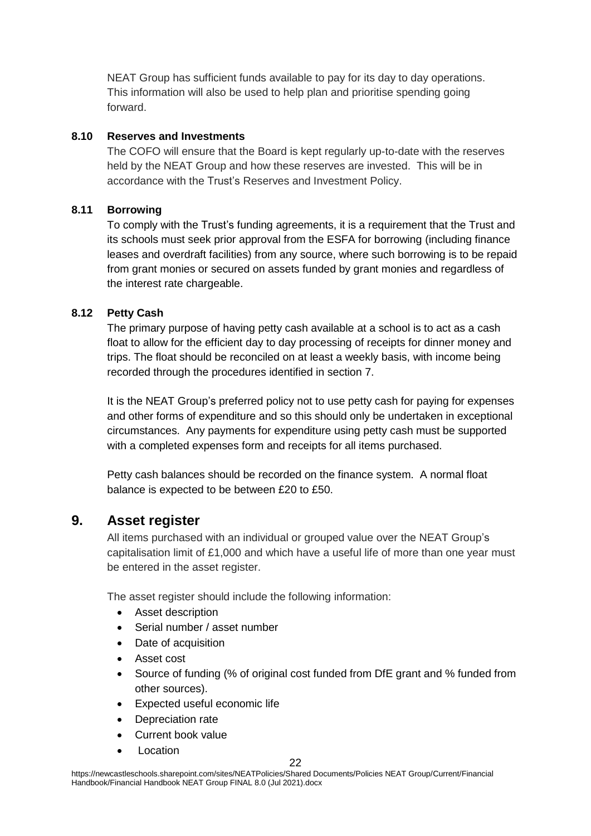NEAT Group has sufficient funds available to pay for its day to day operations. This information will also be used to help plan and prioritise spending going forward.

#### **8.10 Reserves and Investments**

The COFO will ensure that the Board is kept regularly up-to-date with the reserves held by the NEAT Group and how these reserves are invested. This will be in accordance with the Trust's Reserves and Investment Policy.

#### **8.11 Borrowing**

To comply with the Trust's funding agreements, it is a requirement that the Trust and its schools must seek prior approval from the ESFA for borrowing (including finance leases and overdraft facilities) from any source, where such borrowing is to be repaid from grant monies or secured on assets funded by grant monies and regardless of the interest rate chargeable.

#### **8.12 Petty Cash**

The primary purpose of having petty cash available at a school is to act as a cash float to allow for the efficient day to day processing of receipts for dinner money and trips. The float should be reconciled on at least a weekly basis, with income being recorded through the procedures identified in section 7.

It is the NEAT Group's preferred policy not to use petty cash for paying for expenses and other forms of expenditure and so this should only be undertaken in exceptional circumstances. Any payments for expenditure using petty cash must be supported with a completed expenses form and receipts for all items purchased.

Petty cash balances should be recorded on the finance system. A normal float balance is expected to be between £20 to £50.

# **9. Asset register**

All items purchased with an individual or grouped value over the NEAT Group's capitalisation limit of £1,000 and which have a useful life of more than one year must be entered in the asset register.

The asset register should include the following information:

- Asset description
- Serial number / asset number
- Date of acquisition
- Asset cost
- Source of funding (% of original cost funded from DfE grant and % funded from other sources).
- Expected useful economic life
- Depreciation rate
- Current book value
- Location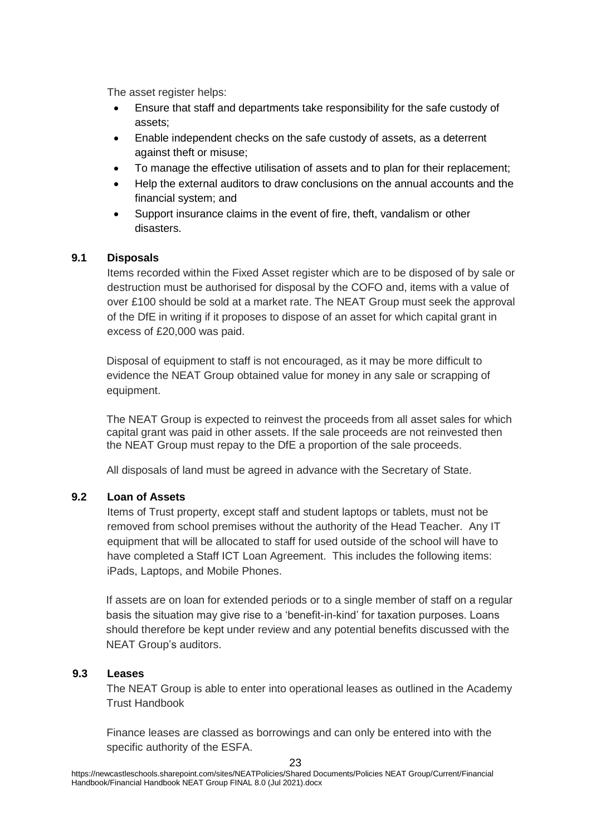The asset register helps:

- Ensure that staff and departments take responsibility for the safe custody of assets;
- Enable independent checks on the safe custody of assets, as a deterrent against theft or misuse;
- To manage the effective utilisation of assets and to plan for their replacement;
- Help the external auditors to draw conclusions on the annual accounts and the financial system; and
- Support insurance claims in the event of fire, theft, vandalism or other disasters.

# **9.1 Disposals**

Items recorded within the Fixed Asset register which are to be disposed of by sale or destruction must be authorised for disposal by the COFO and, items with a value of over £100 should be sold at a market rate. The NEAT Group must seek the approval of the DfE in writing if it proposes to dispose of an asset for which capital grant in excess of £20,000 was paid.

Disposal of equipment to staff is not encouraged, as it may be more difficult to evidence the NEAT Group obtained value for money in any sale or scrapping of equipment.

The NEAT Group is expected to reinvest the proceeds from all asset sales for which capital grant was paid in other assets. If the sale proceeds are not reinvested then the NEAT Group must repay to the DfE a proportion of the sale proceeds.

All disposals of land must be agreed in advance with the Secretary of State.

# **9.2 Loan of Assets**

Items of Trust property, except staff and student laptops or tablets, must not be removed from school premises without the authority of the Head Teacher. Any IT equipment that will be allocated to staff for used outside of the school will have to have completed a Staff ICT Loan Agreement. This includes the following items: iPads, Laptops, and Mobile Phones.

If assets are on loan for extended periods or to a single member of staff on a regular basis the situation may give rise to a 'benefit-in-kind' for taxation purposes. Loans should therefore be kept under review and any potential benefits discussed with the NEAT Group's auditors.

# **9.3 Leases**

The NEAT Group is able to enter into operational leases as outlined in the Academy Trust Handbook

Finance leases are classed as borrowings and can only be entered into with the specific authority of the ESFA.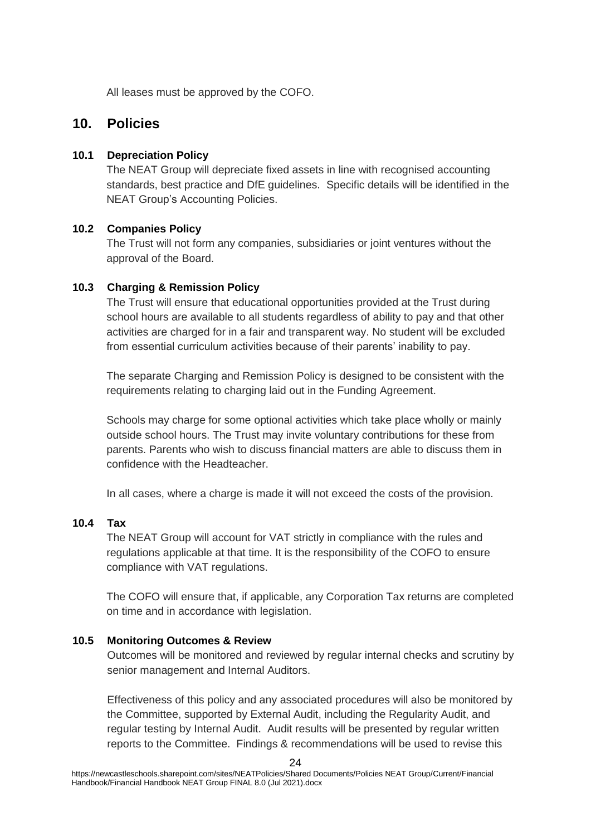All leases must be approved by the COFO.

# **10. Policies**

#### **10.1 Depreciation Policy**

The NEAT Group will depreciate fixed assets in line with recognised accounting standards, best practice and DfE guidelines. Specific details will be identified in the NEAT Group's Accounting Policies.

#### **10.2 Companies Policy**

The Trust will not form any companies, subsidiaries or joint ventures without the approval of the Board.

#### **10.3 Charging & Remission Policy**

The Trust will ensure that educational opportunities provided at the Trust during school hours are available to all students regardless of ability to pay and that other activities are charged for in a fair and transparent way. No student will be excluded from essential curriculum activities because of their parents' inability to pay.

The separate Charging and Remission Policy is designed to be consistent with the requirements relating to charging laid out in the Funding Agreement.

Schools may charge for some optional activities which take place wholly or mainly outside school hours. The Trust may invite voluntary contributions for these from parents. Parents who wish to discuss financial matters are able to discuss them in confidence with the Headteacher.

In all cases, where a charge is made it will not exceed the costs of the provision.

#### **10.4 Tax**

The NEAT Group will account for VAT strictly in compliance with the rules and regulations applicable at that time. It is the responsibility of the COFO to ensure compliance with VAT regulations.

The COFO will ensure that, if applicable, any Corporation Tax returns are completed on time and in accordance with legislation.

#### **10.5 Monitoring Outcomes & Review**

Outcomes will be monitored and reviewed by regular internal checks and scrutiny by senior management and Internal Auditors.

Effectiveness of this policy and any associated procedures will also be monitored by the Committee, supported by External Audit, including the Regularity Audit, and regular testing by Internal Audit. Audit results will be presented by regular written reports to the Committee. Findings & recommendations will be used to revise this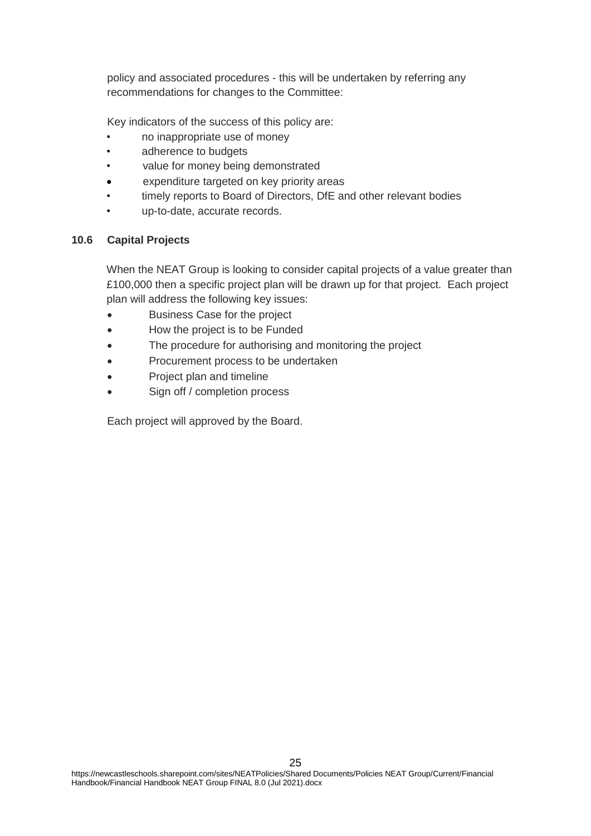policy and associated procedures - this will be undertaken by referring any recommendations for changes to the Committee:

Key indicators of the success of this policy are:

- no inappropriate use of money
- adherence to budgets
- value for money being demonstrated
- expenditure targeted on key priority areas
- timely reports to Board of Directors, DfE and other relevant bodies
- up-to-date, accurate records.

# **10.6 Capital Projects**

When the NEAT Group is looking to consider capital projects of a value greater than £100,000 then a specific project plan will be drawn up for that project. Each project plan will address the following key issues:

- Business Case for the project
- How the project is to be Funded
- The procedure for authorising and monitoring the project
- Procurement process to be undertaken
- Project plan and timeline
- Sign off / completion process

Each project will approved by the Board.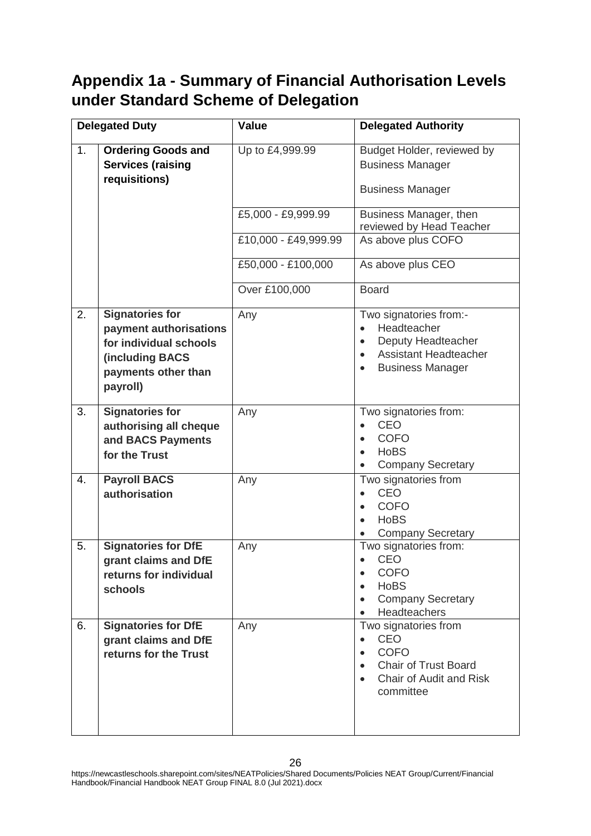# **Appendix 1a - Summary of Financial Authorisation Levels under Standard Scheme of Delegation**

|    | <b>Delegated Duty</b>                                                                                                            | <b>Value</b>         | <b>Delegated Authority</b>                                                                                                                                    |
|----|----------------------------------------------------------------------------------------------------------------------------------|----------------------|---------------------------------------------------------------------------------------------------------------------------------------------------------------|
| 1. | <b>Ordering Goods and</b><br><b>Services (raising</b><br>requisitions)                                                           | Up to £4,999.99      | Budget Holder, reviewed by<br><b>Business Manager</b><br><b>Business Manager</b>                                                                              |
|    |                                                                                                                                  | £5,000 - £9,999.99   | Business Manager, then<br>reviewed by Head Teacher                                                                                                            |
|    |                                                                                                                                  | £10,000 - £49,999.99 | As above plus COFO                                                                                                                                            |
|    |                                                                                                                                  | £50,000 - £100,000   | As above plus CEO                                                                                                                                             |
|    |                                                                                                                                  | Over £100,000        | <b>Board</b>                                                                                                                                                  |
| 2. | <b>Signatories for</b><br>payment authorisations<br>for individual schools<br>(including BACS<br>payments other than<br>payroll) | Any                  | Two signatories from:-<br>Headteacher<br>$\bullet$<br>Deputy Headteacher<br>$\bullet$<br><b>Assistant Headteacher</b><br><b>Business Manager</b><br>$\bullet$ |
| 3. | <b>Signatories for</b><br>authorising all cheque<br>and BACS Payments<br>for the Trust                                           | Any                  | Two signatories from:<br><b>CEO</b><br><b>COFO</b><br>$\bullet$<br><b>HoBS</b><br><b>Company Secretary</b>                                                    |
| 4. | <b>Payroll BACS</b><br>authorisation                                                                                             | Any                  | Two signatories from<br><b>CEO</b><br><b>COFO</b><br>$\bullet$<br><b>HoBS</b><br><b>Company Secretary</b>                                                     |
| 5. | <b>Signatories for DfE</b><br>grant claims and DfE<br>returns for individual<br>schools                                          | Any                  | Two signatories from:<br><b>CEO</b><br>$\bullet$<br><b>COFO</b><br><b>HoBS</b><br><b>Company Secretary</b><br><b>Headteachers</b>                             |
| 6. | <b>Signatories for DfE</b><br>grant claims and DfE<br>returns for the Trust                                                      | Any                  | Two signatories from<br>CEO<br>$\bullet$<br><b>COFO</b><br><b>Chair of Trust Board</b><br>Chair of Audit and Risk<br>committee                                |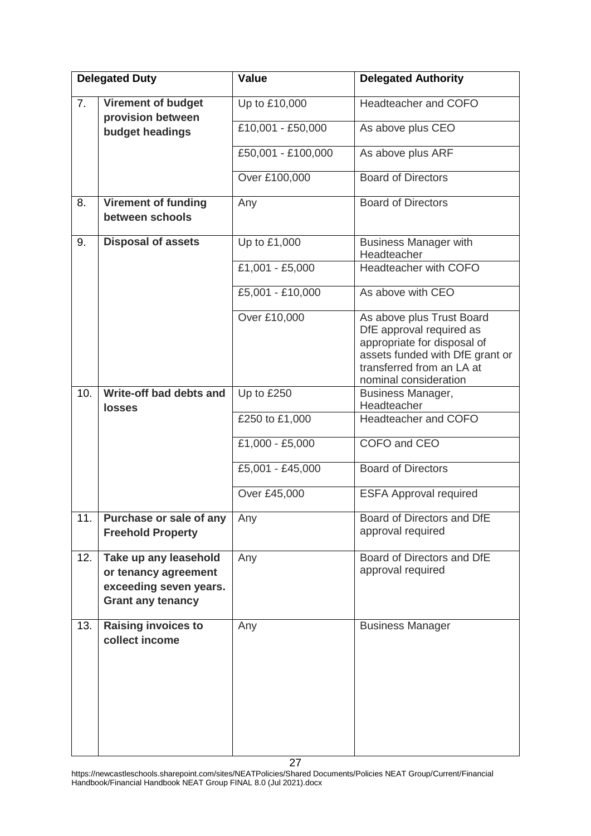| <b>Delegated Duty</b> |                                                                                                     | <b>Value</b>       | <b>Delegated Authority</b>                                                                                                                                                    |
|-----------------------|-----------------------------------------------------------------------------------------------------|--------------------|-------------------------------------------------------------------------------------------------------------------------------------------------------------------------------|
| 7.                    | <b>Virement of budget</b><br>provision between                                                      | Up to £10,000      | Headteacher and COFO                                                                                                                                                          |
|                       | budget headings                                                                                     | £10,001 - £50,000  | As above plus CEO                                                                                                                                                             |
|                       |                                                                                                     | £50,001 - £100,000 | As above plus ARF                                                                                                                                                             |
|                       |                                                                                                     | Over £100,000      | <b>Board of Directors</b>                                                                                                                                                     |
| 8.                    | <b>Virement of funding</b><br>between schools                                                       | Any                | <b>Board of Directors</b>                                                                                                                                                     |
| 9.                    | <b>Disposal of assets</b>                                                                           | Up to £1,000       | <b>Business Manager with</b><br>Headteacher                                                                                                                                   |
|                       |                                                                                                     | £1,001 - £5,000    | Headteacher with COFO                                                                                                                                                         |
|                       |                                                                                                     | £5,001 - £10,000   | As above with CEO                                                                                                                                                             |
|                       |                                                                                                     | Over £10,000       | As above plus Trust Board<br>DfE approval required as<br>appropriate for disposal of<br>assets funded with DfE grant or<br>transferred from an LA at<br>nominal consideration |
| 10.                   | Write-off bad debts and<br><b>losses</b>                                                            | Up to £250         | Business Manager,<br>Headteacher                                                                                                                                              |
|                       |                                                                                                     | £250 to £1,000     | Headteacher and COFO                                                                                                                                                          |
|                       |                                                                                                     | £1,000 - £5,000    | COFO and CEO                                                                                                                                                                  |
|                       |                                                                                                     | £5,001 - £45,000   | <b>Board of Directors</b>                                                                                                                                                     |
|                       |                                                                                                     | Over £45,000       | <b>ESFA Approval required</b>                                                                                                                                                 |
| 11.                   | Purchase or sale of any<br><b>Freehold Property</b>                                                 | Any                | Board of Directors and DfE<br>approval required                                                                                                                               |
| 12.                   | Take up any leasehold<br>or tenancy agreement<br>exceeding seven years.<br><b>Grant any tenancy</b> | Any                | Board of Directors and DfE<br>approval required                                                                                                                               |
| 13.                   | <b>Raising invoices to</b><br>collect income                                                        | Any                | <b>Business Manager</b>                                                                                                                                                       |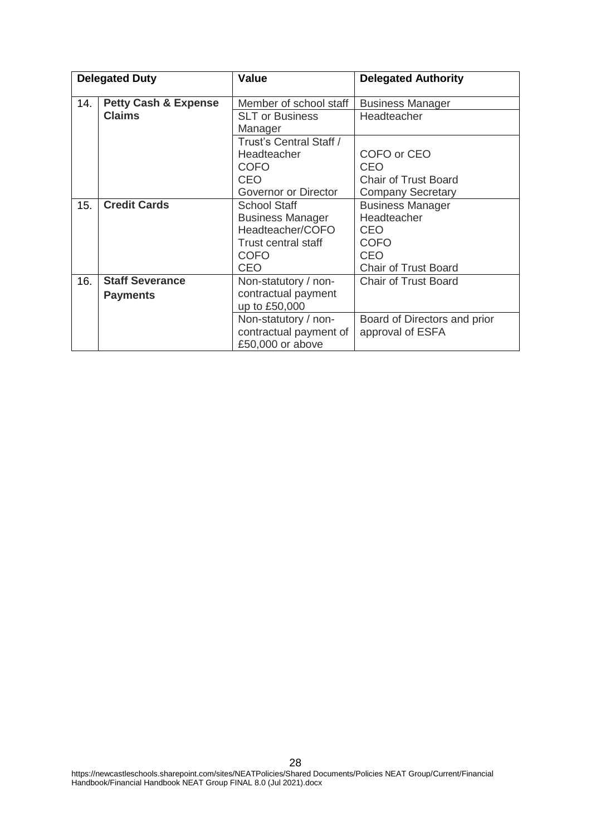| <b>Delegated Duty</b> |                                 | Value                      | <b>Delegated Authority</b>   |
|-----------------------|---------------------------------|----------------------------|------------------------------|
| 14.                   | <b>Petty Cash &amp; Expense</b> | Member of school staff     | <b>Business Manager</b>      |
|                       | <b>Claims</b>                   | <b>SLT or Business</b>     | Headteacher                  |
|                       |                                 | Manager                    |                              |
|                       |                                 | Trust's Central Staff /    |                              |
|                       |                                 | Headteacher                | COFO or CEO                  |
|                       |                                 | <b>COFO</b>                | <b>CEO</b>                   |
|                       |                                 | CEO                        | <b>Chair of Trust Board</b>  |
|                       |                                 | Governor or Director       | <b>Company Secretary</b>     |
| 15.                   | <b>Credit Cards</b>             | <b>School Staff</b>        | <b>Business Manager</b>      |
|                       |                                 | <b>Business Manager</b>    | Headteacher                  |
|                       |                                 | Headteacher/COFO           | CEO                          |
|                       |                                 | <b>Trust central staff</b> | <b>COFO</b>                  |
|                       |                                 | <b>COFO</b>                | <b>CEO</b>                   |
|                       |                                 | CEO                        | <b>Chair of Trust Board</b>  |
| 16.                   | <b>Staff Severance</b>          | Non-statutory / non-       | <b>Chair of Trust Board</b>  |
|                       | <b>Payments</b>                 | contractual payment        |                              |
|                       |                                 | up to £50,000              |                              |
|                       |                                 | Non-statutory / non-       | Board of Directors and prior |
|                       |                                 | contractual payment of     | approval of ESFA             |
|                       |                                 | £50,000 or above           |                              |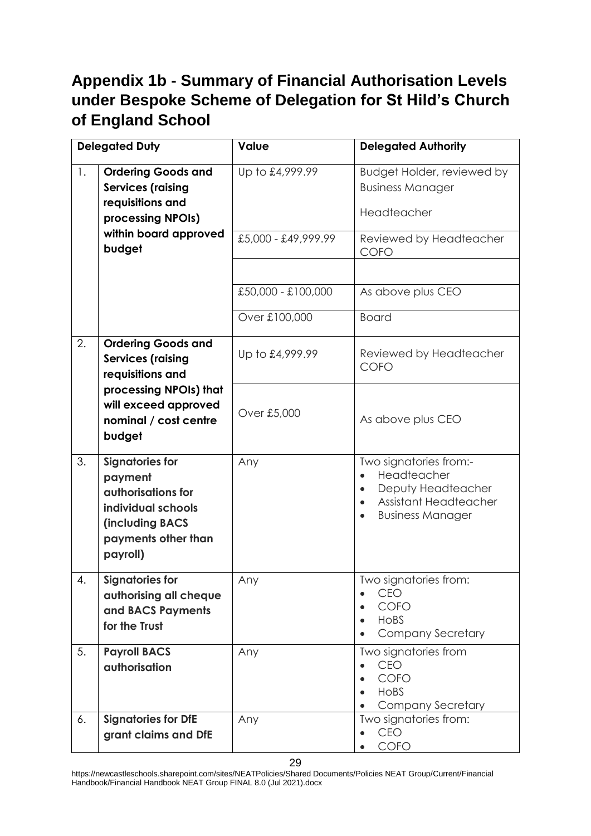# **Appendix 1b - Summary of Financial Authorisation Levels under Bespoke Scheme of Delegation for St Hild's Church of England School**

| <b>Delegated Duty</b> |                                                                                                                                            | Value               | <b>Delegated Authority</b>                                                                                             |
|-----------------------|--------------------------------------------------------------------------------------------------------------------------------------------|---------------------|------------------------------------------------------------------------------------------------------------------------|
| $\mathbf{1}$ .        | <b>Ordering Goods and</b><br><b>Services (raising</b><br>requisitions and<br>processing NPOIs)                                             | Up to £4,999.99     | Budget Holder, reviewed by<br><b>Business Manager</b><br>Headteacher                                                   |
|                       | within board approved<br>budget                                                                                                            | £5,000 - £49,999.99 | Reviewed by Headteacher<br><b>COFO</b>                                                                                 |
|                       |                                                                                                                                            |                     |                                                                                                                        |
|                       |                                                                                                                                            | £50,000 - £100,000  | As above plus CEO                                                                                                      |
|                       |                                                                                                                                            | Over £100,000       | <b>Board</b>                                                                                                           |
| 2.                    | <b>Ordering Goods and</b><br><b>Services (raising</b><br>requisitions and                                                                  | Up to £4,999.99     | Reviewed by Headteacher<br><b>COFO</b>                                                                                 |
|                       | processing NPOIs) that<br>will exceed approved<br>nominal / cost centre<br>budget                                                          | Over £5,000         | As above plus CEO                                                                                                      |
| 3.                    | <b>Signatories for</b><br>payment<br>authorisations for<br>individual schools<br><b>(including BACS</b><br>payments other than<br>payroll) | Any                 | Two signatories from:-<br>Headteacher<br>Deputy Headteacher<br><b>Assistant Headteacher</b><br><b>Business Manager</b> |
| $\overline{4}$        | <b>Signatories for</b><br>authorising all cheque<br>and BACS Payments<br>for the Trust                                                     | Any                 | Two signatories from:<br><b>CEO</b><br>$\bullet$<br>COFO<br>HoBS<br><b>Company Secretary</b>                           |
| 5.                    | <b>Payroll BACS</b><br>authorisation                                                                                                       | Any                 | Two signatories from<br>CEO<br>COFO<br>HoBS<br><b>Company Secretary</b>                                                |
| 6.                    | <b>Signatories for DfE</b><br>grant claims and DfE                                                                                         | Any                 | Two signatories from:<br><b>CEO</b><br>COFO                                                                            |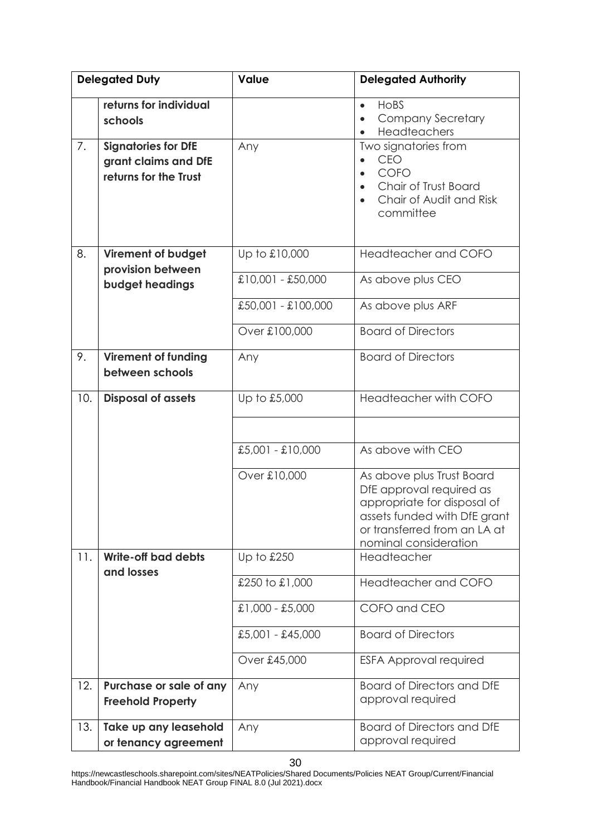| <b>Delegated Duty</b>                                                             | <b>Value</b>       | <b>Delegated Authority</b>                                                                                                                                                    |
|-----------------------------------------------------------------------------------|--------------------|-------------------------------------------------------------------------------------------------------------------------------------------------------------------------------|
| returns for individual<br>schools                                                 |                    | HoBS<br>$\bullet$<br><b>Company Secretary</b><br>$\bullet$<br>Headteachers<br>$\bullet$                                                                                       |
| 7.<br><b>Signatories for DfE</b><br>grant claims and DfE<br>returns for the Trust | Any                | Two signatories from<br><b>CEO</b><br>COFO<br>Chair of Trust Board<br>$\bullet$<br>Chair of Audit and Risk<br>committee                                                       |
| 8.<br><b>Virement of budget</b><br>provision between                              | Up to £10,000      | Headteacher and COFO                                                                                                                                                          |
| budget headings                                                                   | £10,001 - £50,000  | As above plus CEO                                                                                                                                                             |
|                                                                                   | £50,001 - £100,000 | As above plus ARF                                                                                                                                                             |
|                                                                                   | Over £100,000      | <b>Board of Directors</b>                                                                                                                                                     |
| 9.<br><b>Virement of funding</b><br>between schools                               | Any                | <b>Board of Directors</b>                                                                                                                                                     |
| 10.<br><b>Disposal of assets</b>                                                  | Up to £5,000       | Headteacher with COFO                                                                                                                                                         |
|                                                                                   |                    |                                                                                                                                                                               |
|                                                                                   | $£5,001 - £10,000$ | As above with CEO                                                                                                                                                             |
|                                                                                   | Over £10,000       | As above plus Trust Board<br>DfE approval required as<br>appropriate for disposal of<br>assets funded with DfE grant<br>or transferred from an LA at<br>nominal consideration |
| 11.<br>Write-off bad debts<br>and losses                                          | Up to £250         | Headteacher                                                                                                                                                                   |
|                                                                                   | £250 to £1,000     | Headteacher and COFO                                                                                                                                                          |
|                                                                                   | £1,000 - £5,000    | COFO and CEO                                                                                                                                                                  |
|                                                                                   | £5,001 - £45,000   | <b>Board of Directors</b>                                                                                                                                                     |
|                                                                                   | Over £45,000       | <b>ESFA Approval required</b>                                                                                                                                                 |
| 12.<br>Purchase or sale of any<br><b>Freehold Property</b>                        | Any                | <b>Board of Directors and DfE</b><br>approval required                                                                                                                        |
| Take up any leasehold<br>13.<br>or tenancy agreement                              | Any                | <b>Board of Directors and DfE</b><br>approval required                                                                                                                        |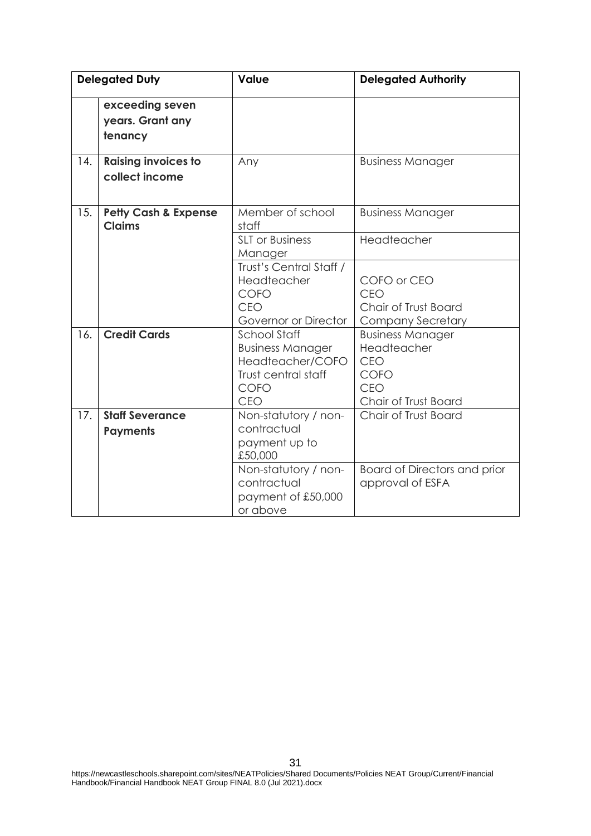|     | <b>Delegated Duty</b>                            | Value                                                                                                           | <b>Delegated Authority</b>                                                           |
|-----|--------------------------------------------------|-----------------------------------------------------------------------------------------------------------------|--------------------------------------------------------------------------------------|
|     | exceeding seven<br>years. Grant any<br>tenancy   |                                                                                                                 |                                                                                      |
| 14. | <b>Raising invoices to</b><br>collect income     | Any                                                                                                             | <b>Business Manager</b>                                                              |
| 15. | <b>Petty Cash &amp; Expense</b><br><b>Claims</b> | Member of school<br>staff<br><b>SLT</b> or Business                                                             | <b>Business Manager</b><br>Headteacher                                               |
|     |                                                  | Manager                                                                                                         |                                                                                      |
|     |                                                  | Trust's Central Staff /<br>Headteacher<br><b>COFO</b><br><b>CEO</b><br>Governor or Director                     | COFO or CEO<br>CEO<br>Chair of Trust Board<br><b>Company Secretary</b>               |
| 16. | <b>Credit Cards</b>                              | <b>School Staff</b><br><b>Business Manager</b><br>Headteacher/COFO<br>Trust central staff<br><b>COFO</b><br>CEO | <b>Business Manager</b><br>Headteacher<br>CEO<br>COFO<br>CEO<br>Chair of Trust Board |
| 17. | <b>Staff Severance</b><br><b>Payments</b>        | Non-statutory / non-<br>contractual<br>payment up to<br>£50,000                                                 | Chair of Trust Board                                                                 |
|     |                                                  | Non-statutory / non-<br>contractual<br>payment of £50,000<br>or above                                           | <b>Board of Directors and prior</b><br>approval of ESFA                              |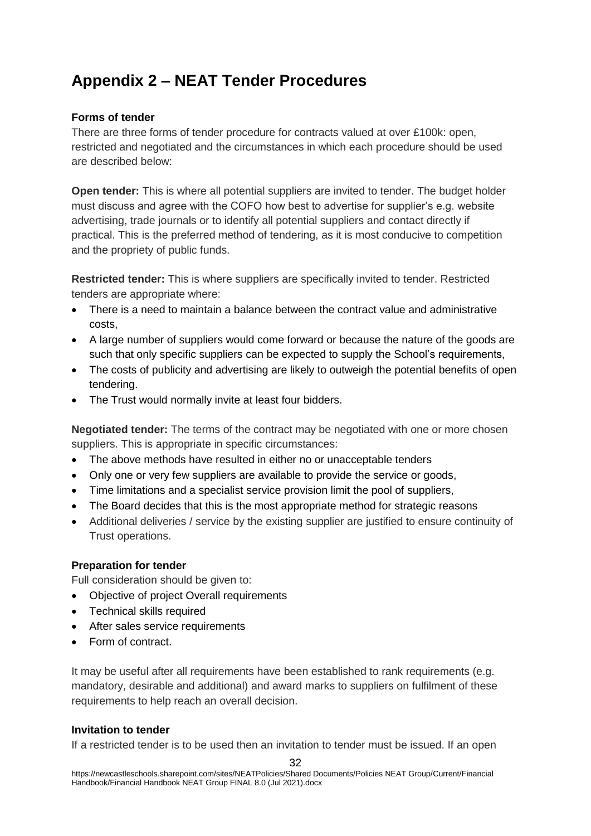# **Appendix 2 – NEAT Tender Procedures**

#### **Forms of tender**

There are three forms of tender procedure for contracts valued at over £100k: open, restricted and negotiated and the circumstances in which each procedure should be used are described below:

**Open tender:** This is where all potential suppliers are invited to tender. The budget holder must discuss and agree with the COFO how best to advertise for supplier's e.g. website advertising, trade journals or to identify all potential suppliers and contact directly if practical. This is the preferred method of tendering, as it is most conducive to competition and the propriety of public funds.

**Restricted tender:** This is where suppliers are specifically invited to tender. Restricted tenders are appropriate where:

- There is a need to maintain a balance between the contract value and administrative costs,
- A large number of suppliers would come forward or because the nature of the goods are such that only specific suppliers can be expected to supply the School's requirements,
- The costs of publicity and advertising are likely to outweigh the potential benefits of open tendering.
- The Trust would normally invite at least four bidders.

**Negotiated tender:** The terms of the contract may be negotiated with one or more chosen suppliers. This is appropriate in specific circumstances:

- The above methods have resulted in either no or unacceptable tenders
- Only one or very few suppliers are available to provide the service or goods,
- Time limitations and a specialist service provision limit the pool of suppliers,
- The Board decides that this is the most appropriate method for strategic reasons
- Additional deliveries / service by the existing supplier are justified to ensure continuity of Trust operations.

#### **Preparation for tender**

Full consideration should be given to:

- Objective of project Overall requirements
- Technical skills required
- After sales service requirements
- Form of contract.

It may be useful after all requirements have been established to rank requirements (e.g. mandatory, desirable and additional) and award marks to suppliers on fulfilment of these requirements to help reach an overall decision.

#### **Invitation to tender**

If a restricted tender is to be used then an invitation to tender must be issued. If an open

32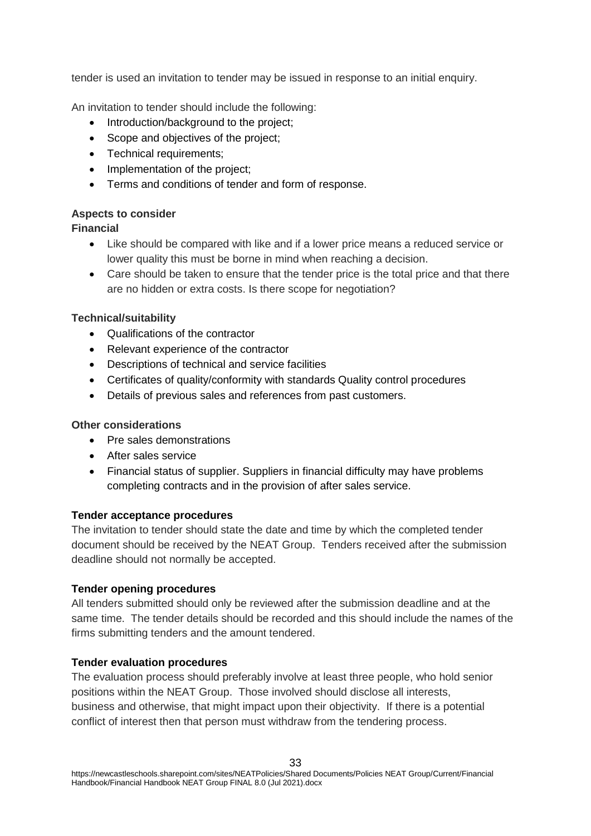tender is used an invitation to tender may be issued in response to an initial enquiry.

An invitation to tender should include the following:

- Introduction/background to the project;
- Scope and objectives of the project;
- Technical requirements:
- Implementation of the project;
- Terms and conditions of tender and form of response.

# **Aspects to consider**

#### **Financial**

- Like should be compared with like and if a lower price means a reduced service or lower quality this must be borne in mind when reaching a decision.
- Care should be taken to ensure that the tender price is the total price and that there are no hidden or extra costs. Is there scope for negotiation?

#### **Technical/suitability**

- Qualifications of the contractor
- Relevant experience of the contractor
- Descriptions of technical and service facilities
- Certificates of quality/conformity with standards Quality control procedures
- Details of previous sales and references from past customers.

# **Other considerations**

- Pre sales demonstrations
- **After sales service**
- Financial status of supplier. Suppliers in financial difficulty may have problems completing contracts and in the provision of after sales service.

#### **Tender acceptance procedures**

The invitation to tender should state the date and time by which the completed tender document should be received by the NEAT Group. Tenders received after the submission deadline should not normally be accepted.

#### **Tender opening procedures**

All tenders submitted should only be reviewed after the submission deadline and at the same time. The tender details should be recorded and this should include the names of the firms submitting tenders and the amount tendered.

#### **Tender evaluation procedures**

The evaluation process should preferably involve at least three people, who hold senior positions within the NEAT Group. Those involved should disclose all interests, business and otherwise, that might impact upon their objectivity. If there is a potential conflict of interest then that person must withdraw from the tendering process.